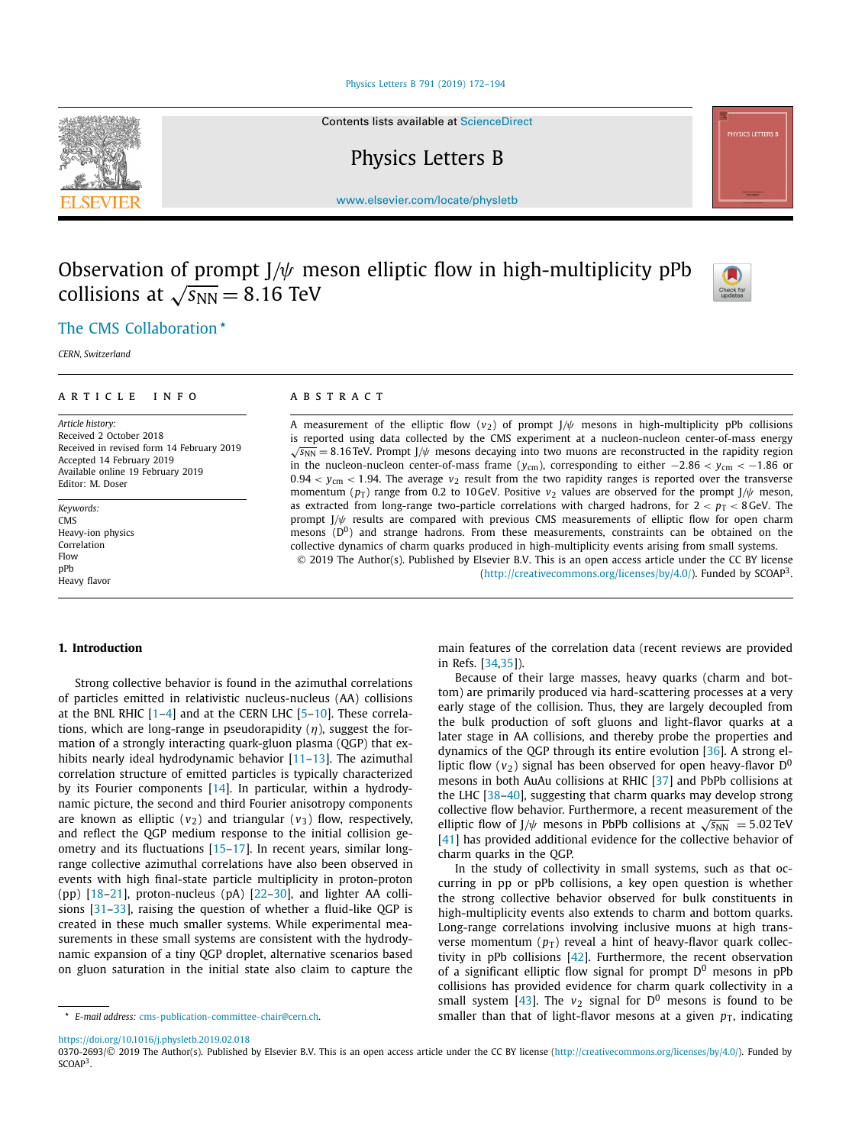#### [Physics Letters B 791 \(2019\) 172–194](https://doi.org/10.1016/j.physletb.2019.02.018)

Contents lists available at [ScienceDirect](http://www.ScienceDirect.com/)

# Physics Letters B

[www.elsevier.com/locate/physletb](http://www.elsevier.com/locate/physletb)

# Observation of prompt J*/ψ* meson elliptic flow in high-multiplicity pPb collisions at  $\sqrt{s_{NN}}$  = 8.16 TeV

# The CMS [Collaboration](#page-6-0)\*

*CERN, Switzerland*

#### A R T I C L E I N F O A B S T R A C T

*Article history:* Received 2 October 2018 Received in revised form 14 February 2019 Accepted 14 February 2019 Available online 19 February 2019 Editor: M. Doser

*Keywords:* CMS Heavy-ion physics Correlation Flow pPb Heavy flavor

#### **1. Introduction**

Strong collective behavior is found in the azimuthal correlations of particles emitted in relativistic nucleus-nucleus (AA) collisions at the BNL RHIC  $[1-4]$  and at the CERN LHC  $[5-10]$ . These correlations, which are long-range in pseudorapidity (*η*), suggest the formation of a strongly interacting quark-gluon plasma (QGP) that exhibits nearly ideal hydrodynamic behavior [11-13]. The azimuthal correlation structure of emitted particles is typically characterized by its Fourier components [\[14\]](#page-5-0). In particular, within a hydrodynamic picture, the second and third Fourier anisotropy components are known as elliptic  $(v_2)$  and triangular  $(v_3)$  flow, respectively, and reflect the QGP medium response to the initial collision geometry and its fluctuations [\[15–17\]](#page-5-0). In recent years, similar longrange collective azimuthal correlations have also been observed in events with high final-state particle multiplicity in proton-proton (pp) [\[18–21\]](#page-5-0), proton-nucleus (pA) [\[22–30\]](#page-5-0), and lighter AA collisions [\[31–33\]](#page-5-0), raising the question of whether a fluid-like QGP is created in these much smaller systems. While experimental measurements in these small systems are consistent with the hydrodynamic expansion of a tiny QGP droplet, alternative scenarios based on gluon saturation in the initial state also claim to capture the

A measurement of the elliptic flow  $(v_2)$  of prompt  $J/\psi$  mesons in high-multiplicity pPb collisions is reported using data collected by the CMS experiment at a nucleon-nucleon center-of-mass energy  $\sqrt{s_{NN}}$  = 8.16 TeV. Prompt J/ $\psi$  mesons decaying into two muons are reconstructed in the rapidity region in the nucleon-nucleon center-of-mass frame (*y*cm), corresponding to either −2*.*86 *< y*cm *<* −1*.*86 or  $0.94 < y_{cm} < 1.94$ . The average  $v_2$  result from the two rapidity ranges is reported over the transverse momentum ( $p_T$ ) range from 0.2 to 10 GeV. Positive  $v_2$  values are observed for the prompt J/ $\psi$  meson, as extracted from long-range two-particle correlations with charged hadrons, for  $2 < p_T < 8$  GeV. The prompt J*/ψ* results are compared with previous CMS measurements of elliptic flow for open charm mesons  $(D^0)$  and strange hadrons. From these measurements, constraints can be obtained on the collective dynamics of charm quarks produced in high-multiplicity events arising from small systems. © 2019 The Author(s). Published by Elsevier B.V. This is an open access article under the CC BY license

[\(http://creativecommons.org/licenses/by/4.0/\)](http://creativecommons.org/licenses/by/4.0/). Funded by SCOAP3.

main features of the correlation data (recent reviews are provided in Refs. [\[34,35\]](#page-5-0)).

Because of their large masses, heavy quarks (charm and bottom) are primarily produced via hard-scattering processes at a very early stage of the collision. Thus, they are largely decoupled from the bulk production of soft gluons and light-flavor quarks at a later stage in AA collisions, and thereby probe the properties and dynamics of the QGP through its entire evolution [\[36\]](#page-5-0). A strong elliptic flow  $(v_2)$  signal has been observed for open heavy-flavor  $D^0$ mesons in both AuAu collisions at RHIC [\[37\]](#page-6-0) and PbPb collisions at the LHC [\[38–40\]](#page-6-0), suggesting that charm quarks may develop strong collective flow behavior. Furthermore, a recent measurement of the elliptic flow of J/ $\psi$  mesons in PbPb collisions at  $\sqrt{s_{NN}}$  = 5.02 TeV [\[41\]](#page-6-0) has provided additional evidence for the collective behavior of charm quarks in the QGP.

In the study of collectivity in small systems, such as that occurring in pp or pPb collisions, a key open question is whether the strong collective behavior observed for bulk constituents in high-multiplicity events also extends to charm and bottom quarks. Long-range correlations involving inclusive muons at high transverse momentum  $(p_T)$  reveal a hint of heavy-flavor quark collectivity in pPb collisions [\[42\]](#page-6-0). Furthermore, the recent observation of a significant elliptic flow signal for prompt  $D^0$  mesons in pPb collisions has provided evidence for charm quark collectivity in a small system  $[43]$ . The  $v_2$  signal for  $D^0$  mesons is found to be smaller than that of light-flavor mesons at a given  $p<sub>T</sub>$ , indicating







*E-mail address:* [cms-publication-committee-chair@cern.ch](mailto:cms-publication-committee-chair@cern.ch).

<https://doi.org/10.1016/j.physletb.2019.02.018>

<sup>0370-2693/© 2019</sup> The Author(s). Published by Elsevier B.V. This is an open access article under the CC BY license [\(http://creativecommons.org/licenses/by/4.0/](http://creativecommons.org/licenses/by/4.0/)). Funded by SCOAP<sup>3</sup>.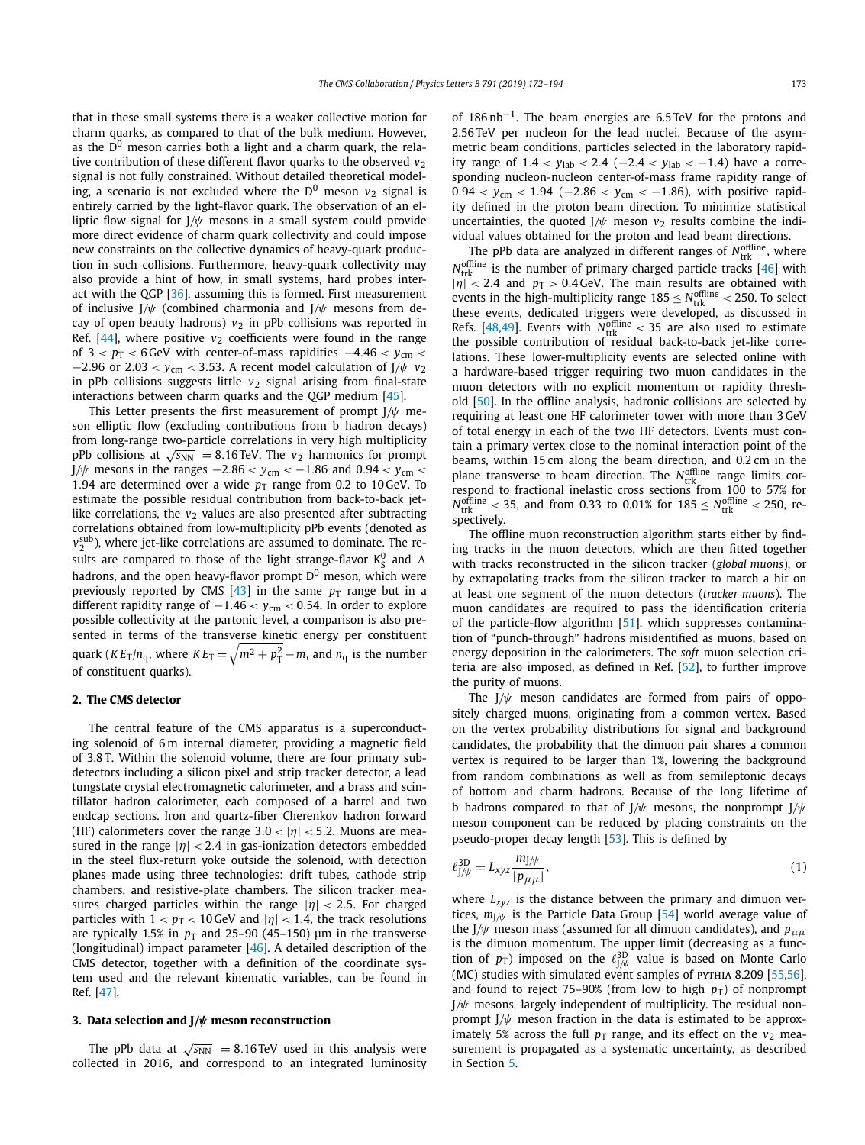that in these small systems there is a weaker collective motion for charm quarks, as compared to that of the bulk medium. However, as the  $D^0$  meson carries both a light and a charm quark, the relative contribution of these different flavor quarks to the observed  $v_2$ signal is not fully constrained. Without detailed theoretical modeling, a scenario is not excluded where the  $D^0$  meson  $v_2$  signal is entirely carried by the light-flavor quark. The observation of an elliptic flow signal for J*/ψ* mesons in a small system could provide more direct evidence of charm quark collectivity and could impose new constraints on the collective dynamics of heavy-quark production in such collisions. Furthermore, heavy-quark collectivity may also provide a hint of how, in small systems, hard probes inter-act with the QGP [\[36\]](#page-5-0), assuming this is formed. First measurement of inclusive J*/ψ* (combined charmonia and J*/ψ* mesons from decay of open beauty hadrons)  $v_2$  in pPb collisions was reported in Ref.  $[44]$ , where positive  $v_2$  coefficients were found in the range of 3 *< p*<sup>T</sup> *<* 6 GeV with center-of-mass rapidities −4*.*46 *< y*cm *<* −2*.*96 or 2*.*03 *< y*cm *<* 3*.*53. A recent model calculation of J*/ψ v*<sup>2</sup> in pPb collisions suggests little  $v_2$  signal arising from final-state interactions between charm quarks and the QGP medium [\[45\]](#page-6-0).

This Letter presents the first measurement of prompt J*/ψ* meson elliptic flow (excluding contributions from b hadron decays) from long-range two-particle correlations in very high multiplicity pPb collisions at  $\sqrt{s_{NN}}$  = 8.16 TeV. The *v*<sub>2</sub> harmonics for prompt *J*/ $\psi$  mesons in the ranges −2.86 <  $y_{cm}$  < −1.86 and 0.94 <  $y_{cm}$  < 1.94 are determined over a wide  $p<sub>T</sub>$  range from 0.2 to 10 GeV. To estimate the possible residual contribution from back-to-back jetlike correlations, the  $v_2$  values are also presented after subtracting correlations obtained from low-multiplicity pPb events (denoted as  $v_2^{\text{sub}}$ ), where jet-like correlations are assumed to dominate. The results are compared to those of the light strange-flavor  $K^0_S$  and  $\Lambda$ hadrons, and the open heavy-flavor prompt  $D^0$  meson, which were previously reported by CMS  $[43]$  in the same  $p<sub>T</sub>$  range but in a different rapidity range of −1*.*46 *< y*cm *<* 0*.*54. In order to explore possible collectivity at the partonic level, a comparison is also presented in terms of the transverse kinetic energy per constituent quark (*KE*<sub>T</sub>/ $n_{\rm q}$ , where *KE*<sub>T</sub> =  $\sqrt{m^2 + p_{\rm T}^2 - m}$ , and  $n_{\rm q}$  is the number of constituent quarks).

#### **2. The CMS detector**

The central feature of the CMS apparatus is a superconducting solenoid of 6 m internal diameter, providing a magnetic field of 3.8 T. Within the solenoid volume, there are four primary subdetectors including a silicon pixel and strip tracker detector, a lead tungstate crystal electromagnetic calorimeter, and a brass and scintillator hadron calorimeter, each composed of a barrel and two endcap sections. Iron and quartz-fiber Cherenkov hadron forward (HF) calorimeters cover the range  $3.0 < |\eta| < 5.2$ . Muons are measured in the range  $|\eta|$  < 2.4 in gas-ionization detectors embedded in the steel flux-return yoke outside the solenoid, with detection planes made using three technologies: drift tubes, cathode strip chambers, and resistive-plate chambers. The silicon tracker measures charged particles within the range |*η*| *<* <sup>2</sup>*.*5. For charged particles with  $1 < p_T < 10$  GeV and  $|\eta| < 1.4$ , the track resolutions are typically 1.5% in  $p<sub>T</sub>$  and 25–90 (45–150) μm in the transverse (longitudinal) impact parameter [\[46\]](#page-6-0). A detailed description of the CMS detector, together with a definition of the coordinate system used and the relevant kinematic variables, can be found in Ref. [\[47\]](#page-6-0).

#### **3. Data selection and J***/ψ* **meson reconstruction**

The pPb data at  $\sqrt{s_{NN}}$  = 8.16 TeV used in this analysis were collected in 2016, and correspond to an integrated luminosity of 186 nb<sup>-1</sup>. The beam energies are 6.5 TeV for the protons and 2.56 TeV per nucleon for the lead nuclei. Because of the asymmetric beam conditions, particles selected in the laboratory rapidity range of  $1.4 < y_{lab} < 2.4$  ( $-2.4 < y_{lab} < -1.4$ ) have a corresponding nucleon-nucleon center-of-mass frame rapidity range of 0*.*94 *< y*cm *<* 1*.*94 (−2*.*86 *< y*cm *<* −1*.*86), with positive rapidity defined in the proton beam direction. To minimize statistical uncertainties, the quoted  $J/\psi$  meson  $v_2$  results combine the individual values obtained for the proton and lead beam directions.

The pPb data are analyzed in different ranges of  $N_{\text{trk}}^{\text{offline}}$ , where  $N_{\text{trk}}^{\text{offline}}$  is the number of primary charged particle tracks [\[46\]](#page-6-0) with  $|\eta| < 2.4$  and  $p_T > 0.4$  GeV. The main results are obtained with events in the high-multiplicity range  $185 \leq N_{\text{trk}}^{\text{offline}} < 250$ . To select these events, dedicated triggers were developed, as discussed in Refs. [\[48,49\]](#page-6-0). Events with  $N_{\text{trk}}^{\text{offline}} < 35$  are also used to estimate the possible contribution of residual back-to-back jet-like correlations. These lower-multiplicity events are selected online with a hardware-based trigger requiring two muon candidates in the muon detectors with no explicit momentum or rapidity threshold [\[50\]](#page-6-0). In the offline analysis, hadronic collisions are selected by requiring at least one HF calorimeter tower with more than 3 GeV of total energy in each of the two HF detectors. Events must contain a primary vertex close to the nominal interaction point of the beams, within 15 cm along the beam direction, and 0.2 cm in the plane transverse to beam direction. The *N*<sup>offline</sup> range limits cor-<br>respond to fractional inelastic cross sections from 100 to 57% for  $N_{\rm trk}^{\rm offline} <$  35, and from 0.33 to 0.01% for 185  $\leq N_{\rm trk}^{\rm offline} <$  250, respectively.

The offline muon reconstruction algorithm starts either by finding tracks in the muon detectors, which are then fitted together with tracks reconstructed in the silicon tracker (*global muons*), or by extrapolating tracks from the silicon tracker to match a hit on at least one segment of the muon detectors (*tracker muons*). The muon candidates are required to pass the identification criteria of the particle-flow algorithm  $[51]$ , which suppresses contamination of "punch-through" hadrons misidentified as muons, based on energy deposition in the calorimeters. The *soft* muon selection criteria are also imposed, as defined in Ref. [\[52\]](#page-6-0), to further improve the purity of muons.

The J*/ψ* meson candidates are formed from pairs of oppositely charged muons, originating from a common vertex. Based on the vertex probability distributions for signal and background candidates, the probability that the dimuon pair shares a common vertex is required to be larger than 1%, lowering the background from random combinations as well as from semileptonic decays of bottom and charm hadrons. Because of the long lifetime of b hadrons compared to that of J*/ψ* mesons, the nonprompt J*/ψ* meson component can be reduced by placing constraints on the pseudo-proper decay length [\[53\]](#page-6-0). This is defined by

$$
\ell_{J/\psi}^{\text{3D}} = L_{xyz} \frac{m_{J/\psi}}{|p_{\mu\mu}|},\tag{1}
$$

where  $L_{xyz}$  is the distance between the primary and dimuon vertices,  $m_{J/\psi}$  is the Particle Data Group [\[54\]](#page-6-0) world average value of the J*/ψ* meson mass (assumed for all dimuon candidates), and *pμμ* is the dimuon momentum. The upper limit (decreasing as a function of  $p_{\text{T}}$ ) imposed on the  $\ell_{\text{J}/\psi}^{\text{3D}}$  value is based on Monte Carlo (MC) studies with simulated event samples of PYTHIA 8.209 [\[55,56\]](#page-6-0), and found to reject 75–90% (from low to high  $p<sub>T</sub>$ ) of nonprompt J*/ψ* mesons, largely independent of multiplicity. The residual nonprompt J*/ψ* meson fraction in the data is estimated to be approximately 5% across the full  $p<sub>T</sub>$  range, and its effect on the  $v<sub>2</sub>$  measurement is propagated as a systematic uncertainty, as described in Section [5.](#page-3-0)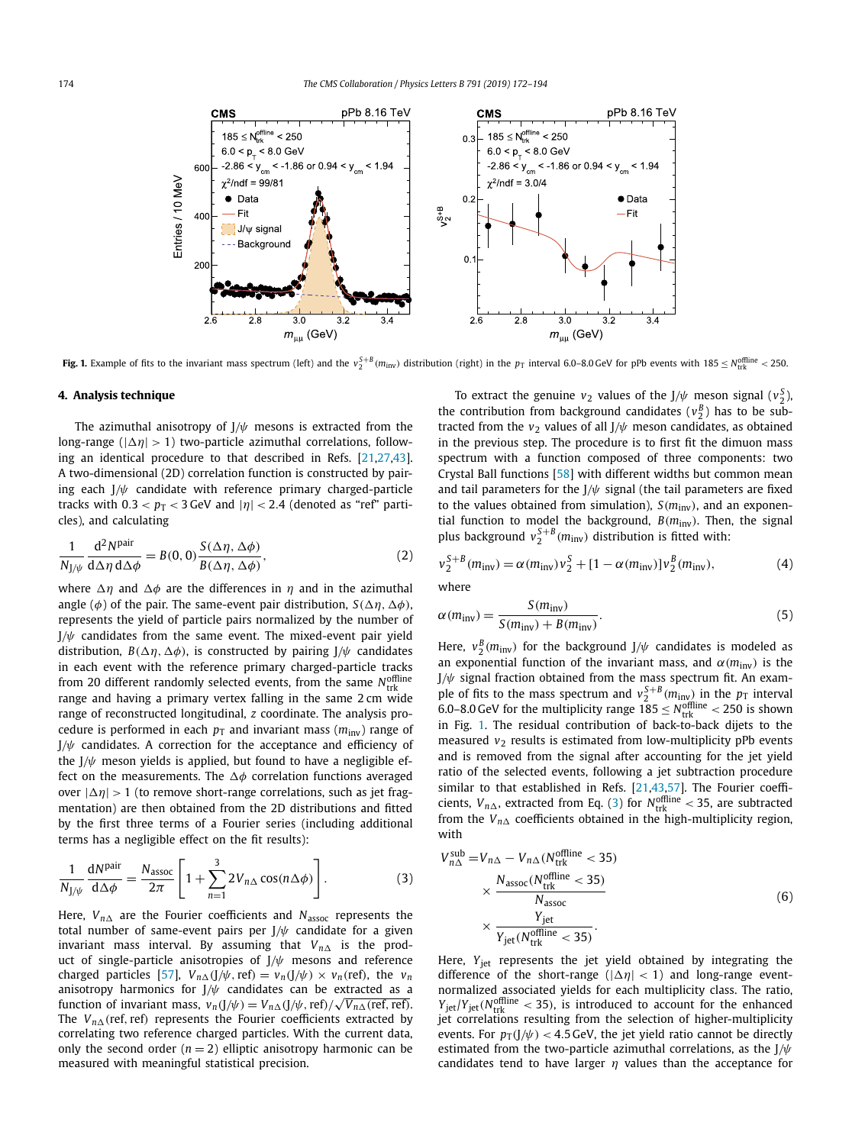

**Fig. 1.** Example of fits to the invariant mass spectrum (left) and the  $v_2^{S+B}(m_{\text{inv}})$  distribution (right) in the  $p_T$  interval 6.0–8.0 GeV for pPb events with 185  $\leq N_{\text{trk}}^{\text{offline}} < 250$ .

#### **4. Analysis technique**

The azimuthal anisotropy of J*/ψ* mesons is extracted from the long-range ( $|\Delta \eta| > 1$ ) two-particle azimuthal correlations, following an identical procedure to that described in Refs. [\[21,27,](#page-5-0)[43\]](#page-6-0). A two-dimensional (2D) correlation function is constructed by pairing each J*/ψ* candidate with reference primary charged-particle tracks with  $0.3 < p_T < 3$  GeV and  $|\eta| < 2.4$  (denoted as "ref" particles), and calculating

$$
\frac{1}{N_{J/\psi}} \frac{d^2 N^{\text{pair}}}{d \Delta \eta \, d \Delta \phi} = B(0, 0) \frac{S(\Delta \eta, \Delta \phi)}{B(\Delta \eta, \Delta \phi)},
$$
(2)

where  $\Delta \eta$  and  $\Delta \phi$  are the differences in  $\eta$  and in the azimuthal angle ( $\phi$ ) of the pair. The same-event pair distribution,  $S(\Delta \eta, \Delta \phi)$ , represents the yield of particle pairs normalized by the number of J*/ψ* candidates from the same event. The mixed-event pair yield distribution,  $B(\Delta \eta, \Delta \phi)$ , is constructed by pairing  $J/\psi$  candidates in each event with the reference primary charged-particle tracks from 20 different randomly selected events, from the same  $N_{\rm trk}^{\rm offline}$ range and having a primary vertex falling in the same 2 cm wide range of reconstructed longitudinal, *z* coordinate. The analysis procedure is performed in each  $p_T$  and invariant mass ( $m_{inv}$ ) range of J*/ψ* candidates. A correction for the acceptance and efficiency of the  $J/\psi$  meson yields is applied, but found to have a negligible effect on the measurements. The  $\Delta\phi$  correlation functions averaged over  $|\Delta \eta| > 1$  (to remove short-range correlations, such as jet fragmentation) are then obtained from the 2D distributions and fitted by the first three terms of a Fourier series (including additional terms has a negligible effect on the fit results):

$$
\frac{1}{N_{J/\psi}} \frac{dN^{pair}}{d\Delta\phi} = \frac{N_{\text{assoc}}}{2\pi} \left[ 1 + \sum_{n=1}^{3} 2V_{n\Delta} \cos(n\Delta\phi) \right]. \tag{3}
$$

Here,  $V_{n\Delta}$  are the Fourier coefficients and  $N_{assoc}$  represents the total number of same-event pairs per J*/ψ* candidate for a given invariant mass interval. By assuming that  $V_{n\Lambda}$  is the product of single-particle anisotropies of J*/ψ* mesons and reference charged particles [\[57\]](#page-6-0),  $V_{n\Delta}(J/\psi, \text{ref}) = v_n(J/\psi) \times v_n(\text{ref})$ , the  $v_n$ anisotropy harmonics for J*/ψ* candidates can be extracted as a function of invariant mass,  $v_n(j/\psi) = V_{n\Delta}(j/\psi, \text{ref})/\sqrt{V_{n\Delta}(\text{ref, ref})}$ . The  $V_{n\Delta}$ (ref<sub>*,*</sub> ref) represents the Fourier coefficients extracted by correlating two reference charged particles. With the current data, only the second order  $(n = 2)$  elliptic anisotropy harmonic can be measured with meaningful statistical precision.

To extract the genuine  $v_2$  values of the J/ $\psi$  meson signal  $(v_2^S)$ , the contribution from background candidates  $(v_2^B)$  has to be subtracted from the  $v_2$  values of all  $J/\psi$  meson candidates, as obtained in the previous step. The procedure is to first fit the dimuon mass spectrum with a function composed of three components: two Crystal Ball functions [\[58\]](#page-6-0) with different widths but common mean and tail parameters for the J*/ψ* signal (the tail parameters are fixed to the values obtained from simulation),  $S(m_{\text{inv}})$ , and an exponential function to model the background,  $B(m_{\text{inv}})$ . Then, the signal plus background  $v_2^{S+B}(m_{\text{inv}})$  distribution is fitted with:

$$
v_2^{S+B}(m_{\rm inv}) = \alpha(m_{\rm inv})v_2^S + [1 - \alpha(m_{\rm inv})]v_2^B(m_{\rm inv}), \tag{4}
$$

where

$$
\alpha(m_{\text{inv}}) = \frac{S(m_{\text{inv}})}{S(m_{\text{inv}}) + B(m_{\text{inv}})}.
$$
\n(5)

Here,  $v_2^B(m_{\text{inv}})$  for the background J/ $\psi$  candidates is modeled as an exponential function of the invariant mass, and  $\alpha$ ( $m_{\text{inv}}$ ) is the J*/ψ* signal fraction obtained from the mass spectrum fit. An example of fits to the mass spectrum and  $v_2^{S+B}(m_{\text{inv}})$  in the  $p_T$  interval 6.0–8.0 GeV for the multiplicity range  $185 \leq N_{\text{trk}}^{\text{offline}} < 250$  is shown in Fig. 1. The residual contribution of back-to-back dijets to the measured  $v_2$  results is estimated from low-multiplicity pPb events and is removed from the signal after accounting for the jet yield ratio of the selected events, following a jet subtraction procedure similar to that established in Refs.  $[21,43,57]$  $[21,43,57]$ . The Fourier coefficients,  $V_{n\Delta}$ , extracted from Eq. (3) for  $N_{\text{trk}}^{\text{offline}} < 35$ , are subtracted from the  $V_{n\Delta}$  coefficients obtained in the high-multiplicity region, with

$$
V_{n\Delta}^{\text{sub}} = V_{n\Delta} - V_{n\Delta} (N_{\text{trk}}^{\text{offline}} < 35)
$$
  

$$
\times \frac{N_{\text{assoc}} (N_{\text{trk}}^{\text{offline}} < 35)}{N_{\text{assoc}}}
$$
  

$$
\times \frac{Y_{\text{jet}}}{Y_{\text{jet}} (N_{\text{trk}}^{\text{offline}} < 35)}.
$$
 (6)

Here, Y<sub>iet</sub> represents the jet yield obtained by integrating the difference of the short-range ( $|\Delta \eta|$  < 1) and long-range eventnormalized associated yields for each multiplicity class. The ratio,  $Y_{\text{jet}}/Y_{\text{jet}}/N_{\text{trk}}^{\text{offline}} < 35$ ), is introduced to account for the enhanced jet correlations resulting from the selection of higher-multiplicity events. For  $p_T(J/\psi) < 4.5$  GeV, the jet yield ratio cannot be directly estimated from the two-particle azimuthal correlations, as the J*/ψ* candidates tend to have larger *η* values than the acceptance for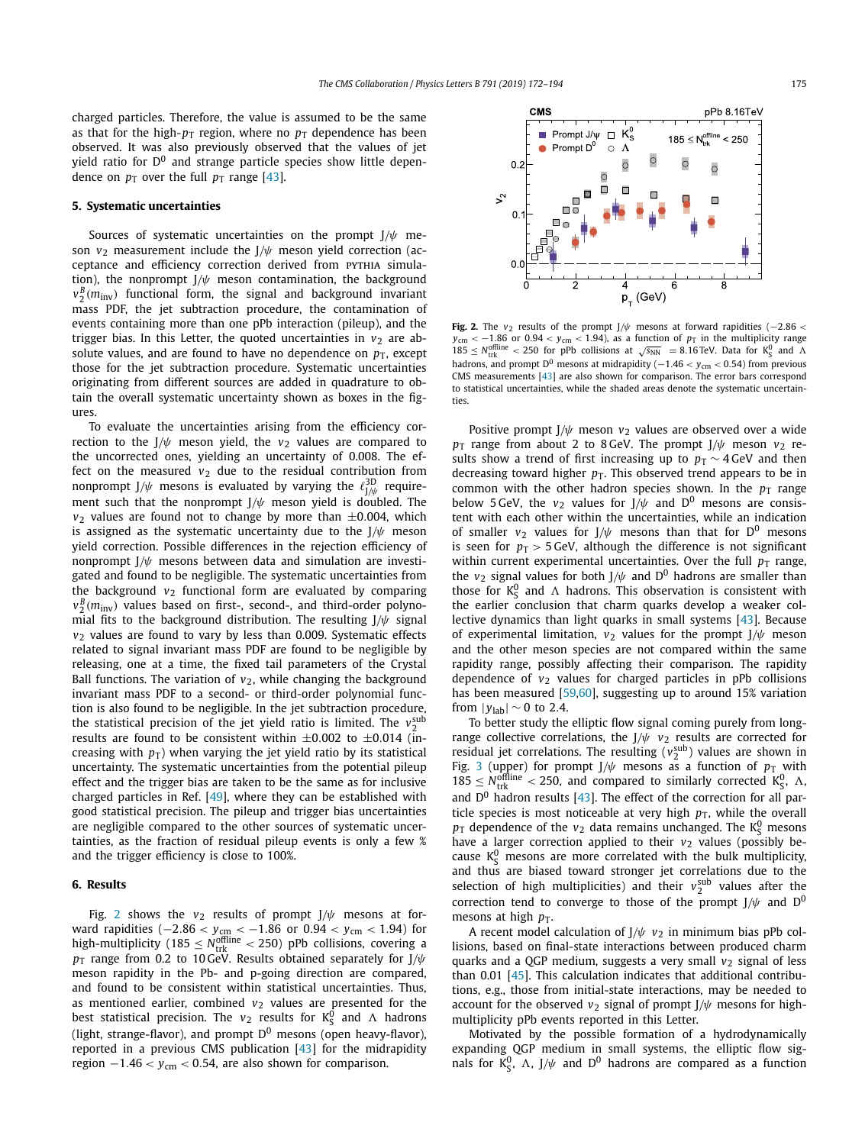<span id="page-3-0"></span>charged particles. Therefore, the value is assumed to be the same as that for the high- $p_T$  region, where no  $p_T$  dependence has been observed. It was also previously observed that the values of jet yield ratio for  $D^0$  and strange particle species show little dependence on  $p_T$  over the full  $p_T$  range [\[43\]](#page-6-0).

#### **5. Systematic uncertainties**

Sources of systematic uncertainties on the prompt J*/ψ* meson  $v_2$  measurement include the  $J/\psi$  meson yield correction (acceptance and efficiency correction derived from PYTHIA simulation), the nonprompt J*/ψ* meson contamination, the background  $v_2^B(m_{\text{inv}})$  functional form, the signal and background invariant mass PDF, the jet subtraction procedure, the contamination of events containing more than one pPb interaction (pileup), and the trigger bias. In this Letter, the quoted uncertainties in  $v_2$  are absolute values, and are found to have no dependence on  $p<sub>T</sub>$ , except those for the jet subtraction procedure. Systematic uncertainties originating from different sources are added in quadrature to obtain the overall systematic uncertainty shown as boxes in the figures.

To evaluate the uncertainties arising from the efficiency correction to the  $J/\psi$  meson yield, the  $v_2$  values are compared to the uncorrected ones, yielding an uncertainty of 0.008. The effect on the measured  $v_2$  due to the residual contribution from nonprompt J/ $\psi$  mesons is evaluated by varying the  $\ell_{J/\psi}^{3\text{D}}$  requirement such that the nonprompt J/ $ψ$  meson yield is doubled. The  $v_2$  values are found not to change by more than  $\pm 0.004$ , which is assigned as the systematic uncertainty due to the J*/ψ* meson yield correction. Possible differences in the rejection efficiency of nonprompt J*/ψ* mesons between data and simulation are investigated and found to be negligible. The systematic uncertainties from the background  $v_2$  functional form are evaluated by comparing  $v_2^B(m_{\text{inv}})$  values based on first-, second-, and third-order polynomial fits to the background distribution. The resulting J*/ψ* signal  $v<sub>2</sub>$  values are found to vary by less than 0.009. Systematic effects related to signal invariant mass PDF are found to be negligible by releasing, one at a time, the fixed tail parameters of the Crystal Ball functions. The variation of  $v_2$ , while changing the background invariant mass PDF to a second- or third-order polynomial function is also found to be negligible. In the jet subtraction procedure, the statistical precision of the jet yield ratio is limited. The  $v_2^{\text{sub}}$ results are found to be consistent within ±0*.*002 to ±0*.*014 (increasing with  $p_T$ ) when varying the jet yield ratio by its statistical uncertainty. The systematic uncertainties from the potential pileup effect and the trigger bias are taken to be the same as for inclusive charged particles in Ref. [\[49\]](#page-6-0), where they can be established with good statistical precision. The pileup and trigger bias uncertainties are negligible compared to the other sources of systematic uncertainties, as the fraction of residual pileup events is only a few % and the trigger efficiency is close to 100%.

#### **6. Results**

Fig. 2 shows the *v*<sup>2</sup> results of prompt J*/ψ* mesons at forward rapidities (−2*.*86 *< y*cm *<* −1*.*86 or 0*.*94 *< y*cm *<* 1*.*94) for high-multiplicity (185  $\leq N_{\text{trk}}^{\text{offline}} <$  250) pPb collisions, covering a  $p_{\text{T}}$  range from 0.2 to 10 GeV. Results obtained separately for  $J/\psi$ meson rapidity in the Pb- and p-going direction are compared, and found to be consistent within statistical uncertainties. Thus, as mentioned earlier, combined  $v_2$  values are presented for the best statistical precision. The  $v_2$  results for  $K_S^0$  and  $\Lambda$  hadrons (light, strange-flavor), and prompt  $D^0$  mesons (open heavy-flavor), reported in a previous CMS publication  $[43]$  for the midrapidity region −1*.*46 *< y*cm *<* 0*.*54, are also shown for comparison.



**Fig. 2.** The  $v_2$  results of the prompt  $J/\psi$  mesons at forward rapidities (-2.86 <  $y_{cm} < -1.86$  or 0.94  $< y_{cm} < 1.94$ ), as a function of  $p_{T}$  in the multiplicity range  $185 \leq N_{\text{trk}}^{\text{offline}} < 250$  for pPb collisions at  $\sqrt{s_{NN}} = 8.16$  TeV. Data for K<sub>S</sub><sup>0</sup> and  $\Lambda$ hadrons, and prompt  $D^0$  mesons at midrapidity ( $-1.46 < y_{cm} < 0.54$ ) from previous CMS measurements [\[43\]](#page-6-0) are also shown for comparison. The error bars correspond to statistical uncertainties, while the shaded areas denote the systematic uncertainties.

Positive prompt  $J/\psi$  meson  $v_2$  values are observed over a wide  $p_T$  range from about 2 to 8 GeV. The prompt  $J/\psi$  meson  $v_2$  results show a trend of first increasing up to  $p<sub>T</sub> \sim 4$  GeV and then decreasing toward higher  $p<sub>T</sub>$ . This observed trend appears to be in common with the other hadron species shown. In the  $p<sub>T</sub>$  range below 5 GeV, the  $v_2$  values for  $J/\psi$  and  $D^0$  mesons are consistent with each other within the uncertainties, while an indication of smaller  $v_2$  values for  $J/\psi$  mesons than that for  $D^0$  mesons is seen for  $p_T > 5$  GeV, although the difference is not significant within current experimental uncertainties. Over the full  $p_T$  range, the  $v_2$  signal values for both  $J/\psi$  and  $D^0$  hadrons are smaller than those for  $K_S^0$  and  $\Lambda$  hadrons. This observation is consistent with the earlier conclusion that charm quarks develop a weaker collective dynamics than light quarks in small systems [\[43\]](#page-6-0). Because of experimental limitation,  $v_2$  values for the prompt  $J/\psi$  meson and the other meson species are not compared within the same rapidity range, possibly affecting their comparison. The rapidity dependence of  $v_2$  values for charged particles in  $pPb$  collisions has been measured [\[59,60\]](#page-6-0), suggesting up to around 15% variation from  $|y_{lab}| \sim 0$  to 2.4.

To better study the elliptic flow signal coming purely from longrange collective correlations, the  $J/\psi \nu_2$  results are corrected for residual jet correlations. The resulting  $(v_2^{\text{sub}})$  values are shown in Fig. [3](#page-4-0) (upper) for prompt J/ $\psi$  mesons as a function of  $p_T$  with  $185 \leq N_{\text{trk}}^{\text{offline}} < 250$ , and compared to similarly corrected K<sup>0</sup><sub>S</sub>,  $\Lambda$ , and  $D^0$  hadron results [\[43\]](#page-6-0). The effect of the correction for all particle species is most noticeable at very high  $p<sub>T</sub>$ , while the overall  $p_{\text{T}}$  dependence of the  $v_2$  data remains unchanged. The K<sub>S</sub><sup>0</sup> mesons have a larger correction applied to their  $v_2$  values (possibly because  $K_S^0$  mesons are more correlated with the bulk multiplicity, and thus are biased toward stronger jet correlations due to the selection of high multiplicities) and their  $v_2^{\text{sub}}$  values after the correction tend to converge to those of the prompt  $J/\psi$  and  $D^0$ mesons at high  $p_T$ .

A recent model calculation of J*/ψ v*<sup>2</sup> in minimum bias pPb collisions, based on final-state interactions between produced charm quarks and a QGP medium, suggests a very small  $v_2$  signal of less than 0.01 [\[45\]](#page-6-0). This calculation indicates that additional contributions, e.g., those from initial-state interactions, may be needed to account for the observed  $v_2$  signal of prompt J/ $\psi$  mesons for highmultiplicity pPb events reported in this Letter.

Motivated by the possible formation of a hydrodynamically expanding QGP medium in small systems, the elliptic flow signals for K<sup> $0$ </sup>,  $\Lambda$ , J/ $\psi$  and D<sup>0</sup> hadrons are compared as a function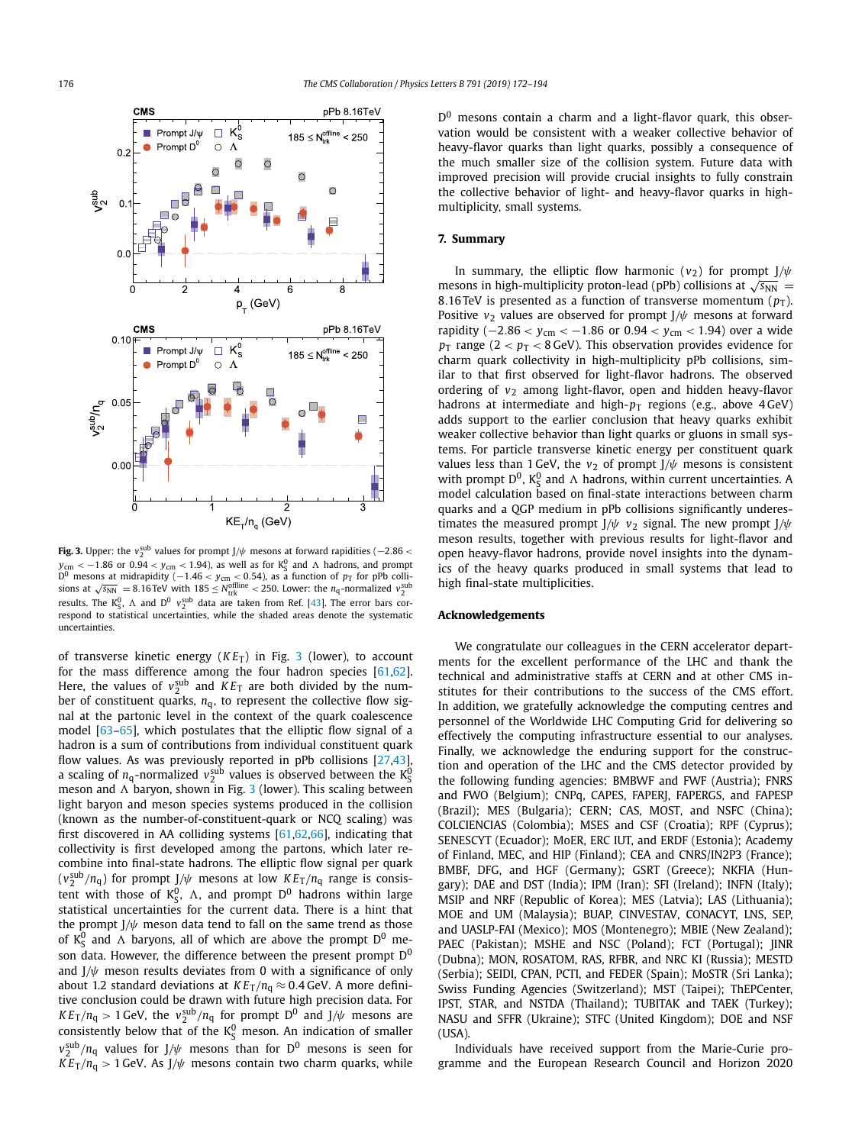<span id="page-4-0"></span>

**Fig. 3.** Upper: the  $v_2^{\text{sub}}$  values for prompt J/ $\psi$  mesons at forward rapidities (−2*.*86 <  $y_{\text{cm}} < -1.86$  or  $0.94 < y_{\text{cm}} < 1.94$ ), as well as for K<sub>S</sub> and  $\Lambda$  hadrons, and prompt D<sup>0</sup> mesons at midrapidity (-1.46 <  $y_{\rm cm}$  < 0.54), as a function of  $p_{\rm T}$  for pPb collisions at  $\sqrt{s_{\rm NN}}$  = 8.16TeV with 185  $\leq N_{\rm trk}^{\rm ofline}$  < 250. Lower: the  $n_{\rm q}$ -normalized  $v_2^{\rm sub}$ results. The K $^0$ ,  $\Lambda$  and D<sup>0</sup>  $v_2^{\text{sub}}$  data are taken from Ref. [\[43\]](#page-6-0). The error bars correspond to statistical uncertainties, while the shaded areas denote the systematic uncertainties.

of transverse kinetic energy  $(KE_T)$  in Fig. 3 (lower), to account for the mass difference among the four hadron species [\[61,62\]](#page-6-0). Here, the values of  $v_2^{\text{sub}}$  and  $KE_\text{T}$  are both divided by the number of constituent quarks,  $n_q$ , to represent the collective flow signal at the partonic level in the context of the quark coalescence model [\[63–65\]](#page-6-0), which postulates that the elliptic flow signal of a hadron is a sum of contributions from individual constituent quark flow values. As was previously reported in pPb collisions [\[27,](#page-5-0)[43\]](#page-6-0), a scaling of  $n_{\rm q}$ -normalized  $v_2^{\rm sub}$  values is observed between the K $_{\rm S}^0$ meson and  $\Lambda$  baryon, shown in Fig. 3 (lower). This scaling between light baryon and meson species systems produced in the collision (known as the number-of-constituent-quark or NCQ scaling) was first discovered in AA colliding systems [\[61,62,66\]](#page-6-0), indicating that collectivity is first developed among the partons, which later recombine into final-state hadrons. The elliptic flow signal per quark  $(v_2^{\text{sub}}/n_q)$  for prompt J/ $\psi$  mesons at low  $KE_{\text{T}}/n_q$  range is consistent with those of  $K^0_S$ ,  $\Lambda$ , and prompt  $D^0$  hadrons within large statistical uncertainties for the current data. There is a hint that the prompt J*/ψ* meson data tend to fall on the same trend as those of  $K_S^0$  and  $\Lambda$  baryons, all of which are above the prompt  $D^0$  meson data. However, the difference between the present prompt  $D^0$ and J*/ψ* meson results deviates from 0 with a significance of only about 1.2 standard deviations at  $KE_T/n_q \approx 0.4$  GeV. A more definitive conclusion could be drawn with future high precision data. For  $KE_{\rm T}/n_{\rm q} > 1$  GeV, the  $v_2^{\rm sub}/n_{\rm q}$  for prompt D<sup>0</sup> and J/ $\psi$  mesons are consistently below that of the  $K^0_S$  meson. An indication of smaller  $v_2^{\text{sub}}/n_q$  values for J/ $\psi$  mesons than for D<sup>0</sup> mesons is seen for  $K \overline{E_T}/n_q > 1$  GeV. As  $J/\psi$  mesons contain two charm quarks, while  $D<sup>0</sup>$  mesons contain a charm and a light-flavor quark, this observation would be consistent with a weaker collective behavior of heavy-flavor quarks than light quarks, possibly a consequence of the much smaller size of the collision system. Future data with improved precision will provide crucial insights to fully constrain the collective behavior of light- and heavy-flavor quarks in highmultiplicity, small systems.

#### **7. Summary**

In summary, the elliptic flow harmonic (*v*2) for prompt J*/ψ* mesons in high-multiplicity proton-lead (pPb) collisions at  $\sqrt{s_{NN}}$  = 8.16 TeV is presented as a function of transverse momentum  $(p_T)$ . Positive *v*<sub>2</sub> values are observed for prompt J/ $\psi$  mesons at forward rapidity (−2*.*86 *< y*cm *<* −1*.*86 or 0*.*94 *< y*cm *<* 1*.*94) over a wide  $p_T$  range (2 <  $p_T$  < 8 GeV). This observation provides evidence for charm quark collectivity in high-multiplicity pPb collisions, similar to that first observed for light-flavor hadrons. The observed ordering of  $v_2$  among light-flavor, open and hidden heavy-flavor hadrons at intermediate and high- $p<sub>T</sub>$  regions (e.g., above  $4 \text{GeV}$ ) adds support to the earlier conclusion that heavy quarks exhibit weaker collective behavior than light quarks or gluons in small systems. For particle transverse kinetic energy per constituent quark values less than 1 GeV, the  $v_2$  of prompt  $J/\psi$  mesons is consistent with prompt  $D^0$ ,  $K_S^0$  and  $\Lambda$  hadrons, within current uncertainties. A model calculation based on final-state interactions between charm quarks and a QGP medium in pPb collisions significantly underestimates the measured prompt  $J/\psi$  *v*<sub>2</sub> signal. The new prompt  $J/\psi$ meson results, together with previous results for light-flavor and open heavy-flavor hadrons, provide novel insights into the dynamics of the heavy quarks produced in small systems that lead to high final-state multiplicities.

#### **Acknowledgements**

We congratulate our colleagues in the CERN accelerator departments for the excellent performance of the LHC and thank the technical and administrative staffs at CERN and at other CMS institutes for their contributions to the success of the CMS effort. In addition, we gratefully acknowledge the computing centres and personnel of the Worldwide LHC Computing Grid for delivering so effectively the computing infrastructure essential to our analyses. Finally, we acknowledge the enduring support for the construction and operation of the LHC and the CMS detector provided by the following funding agencies: BMBWF and FWF (Austria); FNRS and FWO (Belgium); CNPq, CAPES, FAPERJ, FAPERGS, and FAPESP (Brazil); MES (Bulgaria); CERN; CAS, MOST, and NSFC (China); COLCIENCIAS (Colombia); MSES and CSF (Croatia); RPF (Cyprus); SENESCYT (Ecuador); MoER, ERC IUT, and ERDF (Estonia); Academy of Finland, MEC, and HIP (Finland); CEA and CNRS/IN2P3 (France); BMBF, DFG, and HGF (Germany); GSRT (Greece); NKFIA (Hungary); DAE and DST (India); IPM (Iran); SFI (Ireland); INFN (Italy); MSIP and NRF (Republic of Korea); MES (Latvia); LAS (Lithuania); MOE and UM (Malaysia); BUAP, CINVESTAV, CONACYT, LNS, SEP, and UASLP-FAI (Mexico); MOS (Montenegro); MBIE (New Zealand); PAEC (Pakistan); MSHE and NSC (Poland); FCT (Portugal); JINR (Dubna); MON, ROSATOM, RAS, RFBR, and NRC KI (Russia); MESTD (Serbia); SEIDI, CPAN, PCTI, and FEDER (Spain); MoSTR (Sri Lanka); Swiss Funding Agencies (Switzerland); MST (Taipei); ThEPCenter, IPST, STAR, and NSTDA (Thailand); TUBITAK and TAEK (Turkey); NASU and SFFR (Ukraine); STFC (United Kingdom); DOE and NSF (USA).

Individuals have received support from the Marie-Curie programme and the European Research Council and Horizon 2020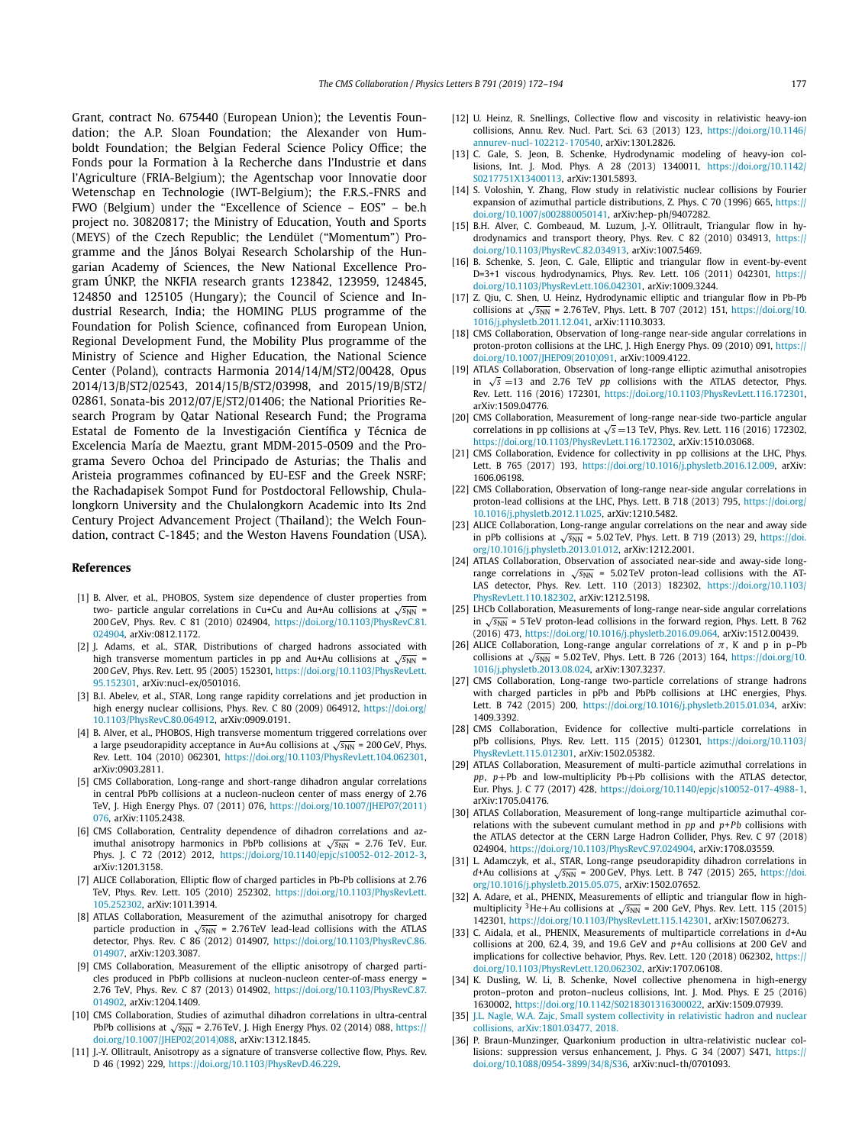<span id="page-5-0"></span>Grant, contract No. 675440 (European Union); the Leventis Foundation; the A.P. Sloan Foundation; the Alexander von Humboldt Foundation; the Belgian Federal Science Policy Office; the Fonds pour la Formation à la Recherche dans l'Industrie et dans l'Agriculture (FRIA-Belgium); the Agentschap voor Innovatie door Wetenschap en Technologie (IWT-Belgium); the F.R.S.-FNRS and FWO (Belgium) under the "Excellence of Science – EOS" – be.h project no. 30820817; the Ministry of Education, Youth and Sports (MEYS) of the Czech Republic; the Lendület ("Momentum") Programme and the János Bolyai Research Scholarship of the Hungarian Academy of Sciences, the New National Excellence Program ÚNKP, the NKFIA research grants 123842, 123959, 124845, 124850 and 125105 (Hungary); the Council of Science and Industrial Research, India; the HOMING PLUS programme of the Foundation for Polish Science, cofinanced from European Union, Regional Development Fund, the Mobility Plus programme of the Ministry of Science and Higher Education, the National Science Center (Poland), contracts Harmonia 2014/14/M/ST2/00428, Opus 2014/13/B/ST2/02543, 2014/15/B/ST2/03998, and 2015/19/B/ST2/ 02861, Sonata-bis 2012/07/E/ST2/01406; the National Priorities Research Program by Qatar National Research Fund; the Programa Estatal de Fomento de la Investigación Científica y Técnica de Excelencia María de Maeztu, grant MDM-2015-0509 and the Programa Severo Ochoa del Principado de Asturias; the Thalis and Aristeia programmes cofinanced by EU-ESF and the Greek NSRF; the Rachadapisek Sompot Fund for Postdoctoral Fellowship, Chulalongkorn University and the Chulalongkorn Academic into Its 2nd Century Project Advancement Project (Thailand); the Welch Foundation, contract C-1845; and the Weston Havens Foundation (USA).

#### **References**

- [1] B. Alver, et al., PHOBOS, System size dependence of cluster properties from two- particle angular correlations in Cu+Cu and Au+Au collisions at  $\sqrt{s_{NN}}$  = 200 GeV, Phys. Rev. C 81 (2010) 024904, [https://doi.org/10.1103/PhysRevC.81.](https://doi.org/10.1103/PhysRevC.81.024904) [024904,](https://doi.org/10.1103/PhysRevC.81.024904) arXiv:0812.1172.
- [2] J. Adams, et al., STAR, Distributions of charged hadrons associated with high transverse momentum particles in pp and Au+Au collisions at  $\sqrt{s_{NN}}$  = 200 GeV, Phys. Rev. Lett. 95 (2005) 152301, [https://doi.org/10.1103/PhysRevLett.](https://doi.org/10.1103/PhysRevLett.95.152301) [95.152301](https://doi.org/10.1103/PhysRevLett.95.152301), arXiv:nucl-ex/0501016.
- [3] B.I. Abelev, et al., STAR, Long range rapidity correlations and jet production in high energy nuclear collisions, Phys. Rev. C 80 (2009) 064912, [https://doi.org/](https://doi.org/10.1103/PhysRevC.80.064912) [10.1103/PhysRevC.80.064912](https://doi.org/10.1103/PhysRevC.80.064912), arXiv:0909.0191.
- [4] B. Alver, et al., PHOBOS, High transverse momentum triggered correlations over a large pseudorapidity acceptance in Au+Au collisions at  $\sqrt{s_{NN}}$  = 200 GeV, Phys. Rev. Lett. 104 (2010) 062301, <https://doi.org/10.1103/PhysRevLett.104.062301>, arXiv:0903.2811.
- [5] CMS Collaboration, Long-range and short-range dihadron angular correlations in central PbPb collisions at a nucleon-nucleon center of mass energy of 2.76 TeV, J. High Energy Phys. 07 (2011) 076, [https://doi.org/10.1007/JHEP07\(2011\)](https://doi.org/10.1007/JHEP07(2011)076) [076](https://doi.org/10.1007/JHEP07(2011)076), arXiv:1105.2438.
- [6] CMS Collaboration, Centrality dependence of dihadron correlations and azimuthal anisotropy harmonics in PbPb collisions at  $\sqrt{s_{NN}}$  = 2.76 TeV, Eur. Phys. J. C 72 (2012) 2012, [https://doi.org/10.1140/epjc/s10052-012-2012-3,](https://doi.org/10.1140/epjc/s10052-012-2012-3) arXiv:1201.3158.
- [7] ALICE Collaboration, Elliptic flow of charged particles in Pb-Pb collisions at 2.76 TeV, Phys. Rev. Lett. 105 (2010) 252302, [https://doi.org/10.1103/PhysRevLett.](https://doi.org/10.1103/PhysRevLett.105.252302) [105.252302](https://doi.org/10.1103/PhysRevLett.105.252302), arXiv:1011.3914.
- [8] ATLAS Collaboration, Measurement of the azimuthal anisotropy for charged particle production in  $\sqrt{s_{NN}}$  = 2.76 TeV lead-lead collisions with the ATLAS detector, Phys. Rev. C 86 (2012) 014907, [https://doi.org/10.1103/PhysRevC.86.](https://doi.org/10.1103/PhysRevC.86.014907) [014907,](https://doi.org/10.1103/PhysRevC.86.014907) arXiv:1203.3087.
- [9] CMS Collaboration, Measurement of the elliptic anisotropy of charged particles produced in PbPb collisions at nucleon-nucleon center-of-mass energy = 2.76 TeV, Phys. Rev. C 87 (2013) 014902, [https://doi.org/10.1103/PhysRevC.87.](https://doi.org/10.1103/PhysRevC.87.014902) [014902,](https://doi.org/10.1103/PhysRevC.87.014902) arXiv:1204.1409.
- [10] CMS Collaboration, Studies of azimuthal dihadron correlations in ultra-central PbPb collisions at √<sup>*s*NN</sup> = 2.76 TeV, J. High Energy Phys. 02 (2014) 088, [https://](https://doi.org/10.1007/JHEP02(2014)088) [doi.org/10.1007/JHEP02\(2014\)088](https://doi.org/10.1007/JHEP02(2014)088), arXiv:1312.1845.
- [11] J.-Y. Ollitrault, Anisotropy as a signature of transverse collective flow, Phys. Rev. D 46 (1992) 229, <https://doi.org/10.1103/PhysRevD.46.229>.
- [12] U. Heinz, R. Snellings, Collective flow and viscosity in relativistic heavy-ion collisions, Annu. Rev. Nucl. Part. Sci. 63 (2013) 123, [https://doi.org/10.1146/](https://doi.org/10.1146/annurev-nucl-102212-170540) [annurev-nucl-102212-170540](https://doi.org/10.1146/annurev-nucl-102212-170540), arXiv:1301.2826.
- [13] C. Gale, S. Jeon, B. Schenke, Hydrodynamic modeling of heavy-ion collisions, Int. J. Mod. Phys. A 28 (2013) 1340011, [https://doi.org/10.1142/](https://doi.org/10.1142/S0217751X13400113) [S0217751X13400113](https://doi.org/10.1142/S0217751X13400113), arXiv:1301.5893.
- [14] S. Voloshin, Y. Zhang, Flow study in relativistic nuclear collisions by Fourier expansion of azimuthal particle distributions, Z. Phys. C 70 (1996) 665, [https://](https://doi.org/10.1007/s002880050141) [doi.org/10.1007/s002880050141,](https://doi.org/10.1007/s002880050141) arXiv:hep-ph/9407282.
- [15] B.H. Alver, C. Gombeaud, M. Luzum, J.-Y. Ollitrault, Triangular flow in hydrodynamics and transport theory, Phys. Rev. C 82 (2010) 034913, [https://](https://doi.org/10.1103/PhysRevC.82.034913) [doi.org/10.1103/PhysRevC.82.034913](https://doi.org/10.1103/PhysRevC.82.034913), arXiv:1007.5469.
- [16] B. Schenke, S. Jeon, C. Gale, Elliptic and triangular flow in event-by-event D=3+1 viscous hydrodynamics, Phys. Rev. Lett. 106 (2011) 042301, [https://](https://doi.org/10.1103/PhysRevLett.106.042301) [doi.org/10.1103/PhysRevLett.106.042301](https://doi.org/10.1103/PhysRevLett.106.042301), arXiv:1009.3244.
- [17] Z. Qiu, C. Shen, U. Heinz, Hydrodynamic elliptic and triangular flow in Pb-Pb collisions at  $\sqrt{s_{NN}}$  = 2.76 TeV, Phys. Lett. B 707 (2012) 151, [https://doi.org/10.](https://doi.org/10.1016/j.physletb.2011.12.041) [1016/j.physletb.2011.12.041,](https://doi.org/10.1016/j.physletb.2011.12.041) arXiv:1110.3033.
- [18] CMS Collaboration, Observation of long-range near-side angular correlations in proton-proton collisions at the LHC, J. High Energy Phys. 09 (2010) 091, [https://](https://doi.org/10.1007/JHEP09(2010)091) [doi.org/10.1007/JHEP09\(2010\)091](https://doi.org/10.1007/JHEP09(2010)091), arXiv:1009.4122.
- [19] ATLAS Collaboration, Observation of long-range elliptic azimuthal anisotropies in <sup>√</sup>*<sup>s</sup>* <sup>=</sup><sup>13</sup> and 2.76 TeV *pp* collisions with the ATLAS detector, Phys. Rev. Lett. 116 (2016) 172301, [https://doi.org/10.1103/PhysRevLett.116.172301,](https://doi.org/10.1103/PhysRevLett.116.172301) arXiv:1509.04776.
- [20] CMS Collaboration, Measurement of long-range near-side two-particle angular correlations in pp collisions at  $\sqrt{s}$  =13 TeV, Phys. Rev. Lett. 116 (2016) 172302, <https://doi.org/10.1103/PhysRevLett.116.172302>, arXiv:1510.03068.
- [21] CMS Collaboration, Evidence for collectivity in pp collisions at the LHC, Phys. Lett. B 765 (2017) 193, [https://doi.org/10.1016/j.physletb.2016.12.009,](https://doi.org/10.1016/j.physletb.2016.12.009) arXiv: 1606.06198.
- [22] CMS Collaboration, Observation of long-range near-side angular correlations in proton-lead collisions at the LHC, Phys. Lett. B 718 (2013) 795, [https://doi.org/](https://doi.org/10.1016/j.physletb.2012.11.025) [10.1016/j.physletb.2012.11.025,](https://doi.org/10.1016/j.physletb.2012.11.025) arXiv:1210.5482.
- [23] ALICE Collaboration, Long-range angular correlations on the near and away side in pPb collisions at  $\sqrt{s_{NN}}$  = 5.02 TeV, Phys. Lett. B 719 (2013) 29, [https://doi.](https://doi.org/10.1016/j.physletb.2013.01.012) [org/10.1016/j.physletb.2013.01.012](https://doi.org/10.1016/j.physletb.2013.01.012), arXiv:1212.2001.
- [24] ATLAS Collaboration, Observation of associated near-side and away-side longrange correlations in  $\sqrt{s_{NN}}$  = 5.02 TeV proton-lead collisions with the AT-LAS detector, Phys. Rev. Lett. 110 (2013) 182302, [https://doi.org/10.1103/](https://doi.org/10.1103/PhysRevLett.110.182302) [PhysRevLett.110.182302,](https://doi.org/10.1103/PhysRevLett.110.182302) arXiv:1212.5198.
- [25] LHCb Collaboration, Measurements of long-range near-side angular correlations in  $\sqrt{s_{NN}}$  = 5 TeV proton-lead collisions in the forward region, Phys. Lett. B 762 (2016) 473, <https://doi.org/10.1016/j.physletb.2016.09.064>, arXiv:1512.00439.
- [26] ALICE Collaboration, Long-range angular correlations of  $\pi$ , K and p in p–Pb collisions at  $\sqrt{s_{NN}}$  = 5.02 TeV, Phys. Lett. B 726 (2013) 164, [https://doi.org/10.](https://doi.org/10.1016/j.physletb.2013.08.024) [1016/j.physletb.2013.08.024](https://doi.org/10.1016/j.physletb.2013.08.024), arXiv:1307.3237.
- [27] CMS Collaboration, Long-range two-particle correlations of strange hadrons with charged particles in pPb and PbPb collisions at LHC energies, Phys. Lett. B 742 (2015) 200, [https://doi.org/10.1016/j.physletb.2015.01.034,](https://doi.org/10.1016/j.physletb.2015.01.034) arXiv: 1409.3392.
- [28] CMS Collaboration, Evidence for collective multi-particle correlations in pPb collisions, Phys. Rev. Lett. 115 (2015) 012301, [https://doi.org/10.1103/](https://doi.org/10.1103/PhysRevLett.115.012301) [PhysRevLett.115.012301,](https://doi.org/10.1103/PhysRevLett.115.012301) arXiv:1502.05382.
- [29] ATLAS Collaboration, Measurement of multi-particle azimuthal correlations in *pp*, *p*+Pb and low-multiplicity Pb+Pb collisions with the ATLAS detector, Eur. Phys. J. C 77 (2017) 428, [https://doi.org/10.1140/epjc/s10052-017-4988-1,](https://doi.org/10.1140/epjc/s10052-017-4988-1) arXiv:1705.04176.
- [30] ATLAS Collaboration, Measurement of long-range multiparticle azimuthal correlations with the subevent cumulant method in  $pp$  and  $p$ + $Pb$  collisions with the ATLAS detector at the CERN Large Hadron Collider, Phys. Rev. C 97 (2018) 024904, <https://doi.org/10.1103/PhysRevC.97.024904>, arXiv:1708.03559.
- [31] L. Adamczyk, et al., STAR, Long-range pseudorapidity dihadron correlations in  $d+Au$  collisions at  $\sqrt{s_{NN}}$  = 200 GeV, Phys. Lett. B 747 (2015) 265, [https://doi.](https://doi.org/10.1016/j.physletb.2015.05.075) [org/10.1016/j.physletb.2015.05.075,](https://doi.org/10.1016/j.physletb.2015.05.075) arXiv:1502.07652.
- [32] A. Adare, et al., PHENIX, Measurements of elliptic and triangular flow in highmultiplicity <sup>3</sup>He+Au collisions at  $\sqrt{s_{NN}}$  = 200 GeV, Phys. Rev. Lett. 115 (2015) 142301, <https://doi.org/10.1103/PhysRevLett.115.142301>, arXiv:1507.06273.
- [33] C. Aidala, et al., PHENIX, Measurements of multiparticle correlations in *d*+Au collisions at 200, 62.4, 39, and 19.6 GeV and *p*+Au collisions at 200 GeV and implications for collective behavior, Phys. Rev. Lett. 120 (2018) 062302, [https://](https://doi.org/10.1103/PhysRevLett.120.062302) [doi.org/10.1103/PhysRevLett.120.062302](https://doi.org/10.1103/PhysRevLett.120.062302), arXiv:1707.06108.
- [34] K. Dusling, W. Li, B. Schenke, Novel collective phenomena in high-energy proton–proton and proton–nucleus collisions, Int. J. Mod. Phys. E 25 (2016) 1630002, <https://doi.org/10.1142/S0218301316300022>, arXiv:1509.07939.
- [35] J.L. Nagle, W.A. Zajc, Small system [collectivity](http://refhub.elsevier.com/S0370-2693(19)30113-3/bib4E61676C653A323031386E7669s1) in relativistic hadron and nuclear collisions, [arXiv:1801.03477,](http://refhub.elsevier.com/S0370-2693(19)30113-3/bib4E61676C653A323031386E7669s1) 2018.
- [36] P. Braun-Munzinger, Quarkonium production in ultra-relativistic nuclear collisions: suppression versus enhancement, J. Phys. G 34 (2007) S471, [https://](https://doi.org/10.1088/0954-3899/34/8/S36) [doi.org/10.1088/0954-3899/34/8/S36,](https://doi.org/10.1088/0954-3899/34/8/S36) arXiv:nucl-th/0701093.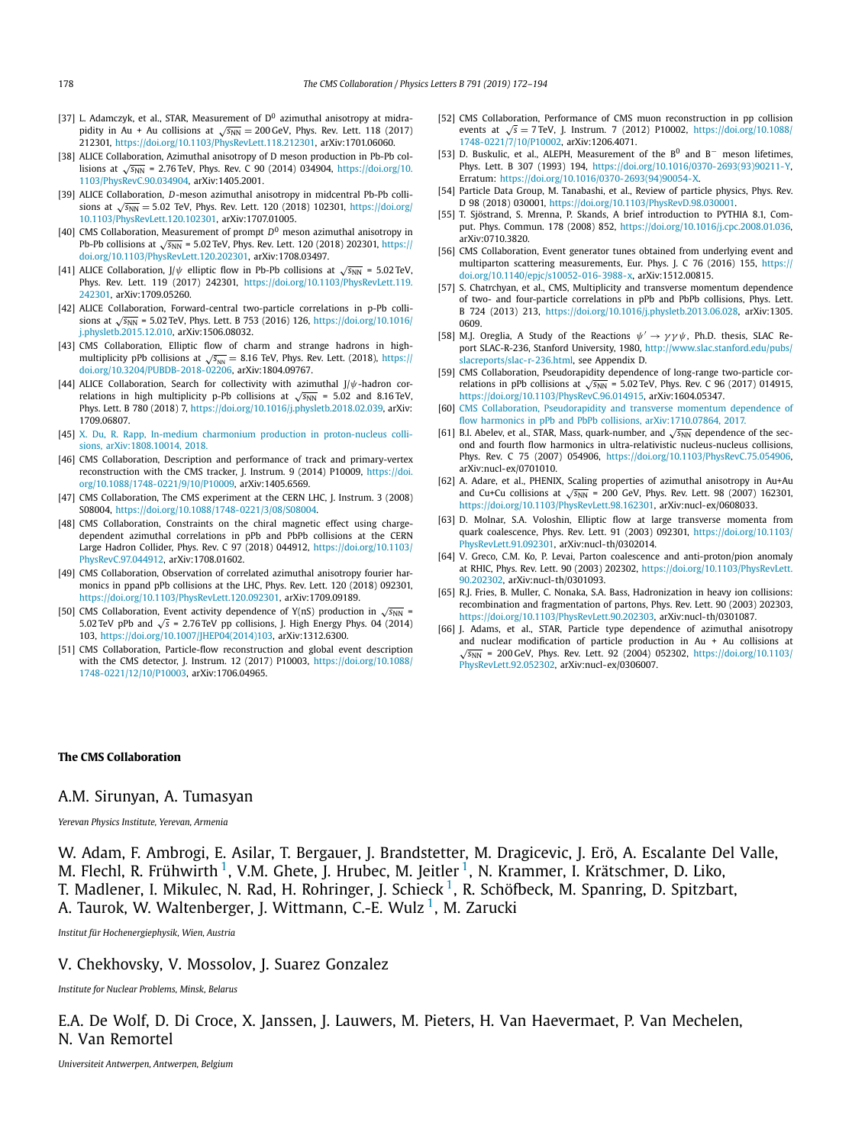- <span id="page-6-0"></span>[37] L. Adamczyk, et al., STAR, Measurement of  $D^0$  azimuthal anisotropy at midrapidity in Au + Au collisions at  $\sqrt{s_{NN}}$  = 200 GeV, Phys. Rev. Lett. 118 (2017) 212301, [https://doi.org/10.1103/PhysRevLett.118.212301,](https://doi.org/10.1103/PhysRevLett.118.212301) arXiv:1701.06060.
- [38] ALICE Collaboration, Azimuthal anisotropy of D meson production in Pb-Pb collisions at  $\sqrt{s_{NN}}$  = 2.76 TeV, Phys. Rev. C 90 (2014) 034904, [https://doi.org/10.](https://doi.org/10.1103/PhysRevC.90.034904) [1103/PhysRevC.90.034904,](https://doi.org/10.1103/PhysRevC.90.034904) arXiv:1405.2001.
- [39] ALICE Collaboration, *D*-meson azimuthal anisotropy in midcentral Pb-Pb collisions at  $\sqrt{s_{NN}}$  = 5.02 TeV, Phys. Rev. Lett. 120 (2018) 102301, [https://doi.org/](https://doi.org/10.1103/PhysRevLett.120.102301) [10.1103/PhysRevLett.120.102301,](https://doi.org/10.1103/PhysRevLett.120.102301) arXiv:1707.01005.
- [40] CMS Collaboration, Measurement of prompt  $D^0$  meson azimuthal anisotropy in Pb-Pb collisions at √*s*<sub>NN</sub> = 5.02 TeV, Phys. Rev. Lett. 120 (2018) 202301, [https://](https://doi.org/10.1103/PhysRevLett.120.202301) [doi.org/10.1103/PhysRevLett.120.202301](https://doi.org/10.1103/PhysRevLett.120.202301), arXiv:1708.03497.
- [41] ALICE Collaboration, J/ $\psi$  elliptic flow in Pb-Pb collisions at  $\sqrt{s_{NN}}$  = 5.02 TeV, Phys. Rev. Lett. 119 (2017) 242301, [https://doi.org/10.1103/PhysRevLett.119.](https://doi.org/10.1103/PhysRevLett.119.242301) [242301,](https://doi.org/10.1103/PhysRevLett.119.242301) arXiv:1709.05260.
- [42] ALICE Collaboration, Forward-central two-particle correlations in p-Pb collisions at  $\sqrt{s_{NN}}$  = 5.02 TeV, Phys. Lett. B 753 (2016) 126, [https://doi.org/10.1016/](https://doi.org/10.1016/j.physletb.2015.12.010) [j.physletb.2015.12.010,](https://doi.org/10.1016/j.physletb.2015.12.010) arXiv:1506.08032.
- [43] CMS Collaboration, Elliptic flow of charm and strange hadrons in highmultiplicity pPb collisions at  $\sqrt{s_{NN}}$  = 8.16 TeV, Phys. Rev. Lett. (2018), [https://](https://doi.org/10.3204/PUBDB-2018-02206) [doi.org/10.3204/PUBDB-2018-02206,](https://doi.org/10.3204/PUBDB-2018-02206) arXiv:1804.09767.
- [44] ALICE Collaboration, Search for collectivity with azimuthal J/*ψ*-hadron correlations in high multiplicity p-Pb collisions at  $\sqrt{s_{NN}}$  = 5.02 and 8.16 TeV, Phys. Lett. B 780 (2018) 7, [https://doi.org/10.1016/j.physletb.2018.02.039,](https://doi.org/10.1016/j.physletb.2018.02.039) arXiv: 1709.06807.
- [45] X. Du, R. Rapp, In-medium charmonium production in [proton-nucleus](http://refhub.elsevier.com/S0370-2693(19)30113-3/bib44753A3230313877736As1) collisions, [arXiv:1808.10014,](http://refhub.elsevier.com/S0370-2693(19)30113-3/bib44753A3230313877736As1) 2018.
- [46] CMS Collaboration, Description and performance of track and primary-vertex reconstruction with the CMS tracker, J. Instrum. 9 (2014) P10009, [https://doi.](https://doi.org/10.1088/1748-0221/9/10/P10009) [org/10.1088/1748-0221/9/10/P10009](https://doi.org/10.1088/1748-0221/9/10/P10009), arXiv:1405.6569.
- [47] CMS Collaboration, The CMS experiment at the CERN LHC, J. Instrum. 3 (2008) S08004, <https://doi.org/10.1088/1748-0221/3/08/S08004>.
- [48] CMS Collaboration, Constraints on the chiral magnetic effect using chargedependent azimuthal correlations in pPb and PbPb collisions at the CERN Large Hadron Collider, Phys. Rev. C 97 (2018) 044912, [https://doi.org/10.1103/](https://doi.org/10.1103/PhysRevC.97.044912) [PhysRevC.97.044912](https://doi.org/10.1103/PhysRevC.97.044912), arXiv:1708.01602.
- [49] CMS Collaboration, Observation of correlated azimuthal anisotropy fourier harmonics in ppand pPb collisions at the LHC, Phys. Rev. Lett. 120 (2018) 092301, <https://doi.org/10.1103/PhysRevLett.120.092301>, arXiv:1709.09189.
- [50] CMS Collaboration, Event activity dependence of Y(nS) production in  $\sqrt{s_{NN}}$  = 5.02 TeV pPb and  $\sqrt{s}$  = 2.76 TeV pp collisions, J. High Energy Phys. 04 (2014) 103, [https://doi.org/10.1007/JHEP04\(2014\)103,](https://doi.org/10.1007/JHEP04(2014)103) arXiv:1312.6300.
- [51] CMS Collaboration, Particle-flow reconstruction and global event description with the CMS detector, J. Instrum. 12 (2017) P10003, [https://doi.org/10.1088/](https://doi.org/10.1088/1748-0221/12/10/P10003) [1748-0221/12/10/P10003](https://doi.org/10.1088/1748-0221/12/10/P10003), arXiv:1706.04965.
- [52] CMS Collaboration, Performance of CMS muon reconstruction in pp collision events at <sup>√</sup>*<sup>s</sup>* <sup>=</sup> 7 TeV, J. Instrum. <sup>7</sup> (2012) P10002, [https://doi.org/10.1088/](https://doi.org/10.1088/1748-0221/7/10/P10002) [1748-0221/7/10/P10002,](https://doi.org/10.1088/1748-0221/7/10/P10002) arXiv:1206.4071.
- [53] D. Buskulic, et al., ALEPH, Measurement of the B<sup>0</sup> and B<sup>-</sup> meson lifetimes, Phys. Lett. B 307 (1993) 194, [https://doi.org/10.1016/0370-2693\(93\)90211-Y](https://doi.org/10.1016/0370-2693(93)90211-Y), Erratum: [https://doi.org/10.1016/0370-2693\(94\)90054-X.](https://doi.org/10.1016/0370-2693(94)90054-X)
- [54] Particle Data Group, M. Tanabashi, et al., Review of particle physics, Phys. Rev. D 98 (2018) 030001, [https://doi.org/10.1103/PhysRevD.98.030001.](https://doi.org/10.1103/PhysRevD.98.030001)
- [55] T. Sjöstrand, S. Mrenna, P. Skands, A brief introduction to PYTHIA 8.1, Comput. Phys. Commun. 178 (2008) 852, <https://doi.org/10.1016/j.cpc.2008.01.036>, arXiv:0710.3820.
- [56] CMS Collaboration, Event generator tunes obtained from underlying event and multiparton scattering measurements, Eur. Phys. J. C 76 (2016) 155, [https://](https://doi.org/10.1140/epjc/s10052-016-3988-x) [doi.org/10.1140/epjc/s10052-016-3988-x](https://doi.org/10.1140/epjc/s10052-016-3988-x), arXiv:1512.00815.
- [57] S. Chatrchyan, et al., CMS, Multiplicity and transverse momentum dependence of two- and four-particle correlations in pPb and PbPb collisions, Phys. Lett. B 724 (2013) 213, [https://doi.org/10.1016/j.physletb.2013.06.028,](https://doi.org/10.1016/j.physletb.2013.06.028) arXiv:1305. 0609.
- [58] M.J. Oreglia, <sup>A</sup> Study of the Reactions *ψ* → *γγ ψ*, Ph.D. thesis, SLAC Report SLAC-R-236, Stanford University, 1980, [http://www.slac.stanford.edu/pubs/](http://www.slac.stanford.edu/pubs/slacreports/slac-r-236.html) [slacreports/slac-r-236.html](http://www.slac.stanford.edu/pubs/slacreports/slac-r-236.html), see Appendix D.
- [59] CMS Collaboration, Pseudorapidity dependence of long-range two-particle correlations in pPb collisions at  $\sqrt{s_{NN}}$  = 5.02 TeV, Phys. Rev. C 96 (2017) 014915, <https://doi.org/10.1103/PhysRevC.96.014915>, arXiv:1604.05347.
- [60] CMS Collaboration, [Pseudorapidity](http://refhub.elsevier.com/S0370-2693(19)30113-3/bib536972756E79616E3A32303137696762s1) and transverse momentum dependence of flow harmonics in pPb and PbPb collisions, [arXiv:1710.07864,](http://refhub.elsevier.com/S0370-2693(19)30113-3/bib536972756E79616E3A32303137696762s1) 2017.
- [61] B.I. Abelev, et al., STAR, Mass, quark-number, and  $\sqrt{s_{NN}}$  dependence of the second and fourth flow harmonics in ultra-relativistic nucleus-nucleus collisions, Phys. Rev. C 75 (2007) 054906, <https://doi.org/10.1103/PhysRevC.75.054906>, arXiv:nucl-ex/0701010.
- [62] A. Adare, et al., PHENIX, Scaling properties of azimuthal anisotropy in Au+Au and Cu+Cu collisions at  $\sqrt{s_{NN}}$  = 200 GeV, Phys. Rev. Lett. 98 (2007) 162301, [https://doi.org/10.1103/PhysRevLett.98.162301,](https://doi.org/10.1103/PhysRevLett.98.162301) arXiv:nucl-ex/0608033.
- [63] D. Molnar, S.A. Voloshin, Elliptic flow at large transverse momenta from quark coalescence, Phys. Rev. Lett. 91 (2003) 092301, [https://doi.org/10.1103/](https://doi.org/10.1103/PhysRevLett.91.092301) [PhysRevLett.91.092301,](https://doi.org/10.1103/PhysRevLett.91.092301) arXiv:nucl-th/0302014.
- [64] V. Greco, C.M. Ko, P. Levai, Parton coalescence and anti-proton/pion anomaly at RHIC, Phys. Rev. Lett. 90 (2003) 202302, [https://doi.org/10.1103/PhysRevLett.](https://doi.org/10.1103/PhysRevLett.90.202302) [90.202302,](https://doi.org/10.1103/PhysRevLett.90.202302) arXiv:nucl-th/0301093.
- [65] R.J. Fries, B. Muller, C. Nonaka, S.A. Bass, Hadronization in heavy ion collisions: recombination and fragmentation of partons, Phys. Rev. Lett. 90 (2003) 202303, [https://doi.org/10.1103/PhysRevLett.90.202303,](https://doi.org/10.1103/PhysRevLett.90.202303) arXiv:nucl-th/0301087.
- [66] J. Adams, et al., STAR, Particle type dependence of azimuthal anisotropy  $\sqrt{s_{NN}}$  = 200 GeV, Phys. Rev. Lett. 92 (2004) 052302, [https://doi.org/10.1103/](https://doi.org/10.1103/PhysRevLett.92.052302) [PhysRevLett.92.052302](https://doi.org/10.1103/PhysRevLett.92.052302), arXiv:nucl-ex/0306007.

#### **The CMS Collaboration**

#### A.M. Sirunyan, A. Tumasyan

#### *Yerevan Physics Institute, Yerevan, Armenia*

W. Adam, F. Ambrogi, E. Asilar, T. Bergauer, J. Brandstetter, M. Dragicevic, J. Erö, A. Escalante Del Valle, M. Flechl, R. Frühwirth<sup>[1](#page-21-0)</sup>, V.M. Ghete, J. Hrubec, M. Jeitler<sup>1</sup>, N. Krammer, I. Krätschmer, D. Liko, T. Madlener, I. Mikulec, N. Rad, H. Rohringer, J. Schieck<sup>1</sup>, R. Schöfbeck, M. Spanring, D. Spitzbart, A. Taurok, W. Waltenberger, J. Wittmann, C.-E. Wulz  $<sup>1</sup>$  $<sup>1</sup>$  $<sup>1</sup>$ , M. Zarucki</sup>

*Institut für Hochenergiephysik, Wien, Austria*

### V. Chekhovsky, V. Mossolov, J. Suarez Gonzalez

*Institute for Nuclear Problems, Minsk, Belarus*

E.A. De Wolf, D. Di Croce, X. Janssen, J. Lauwers, M. Pieters, H. Van Haevermaet, P. Van Mechelen, N. Van Remortel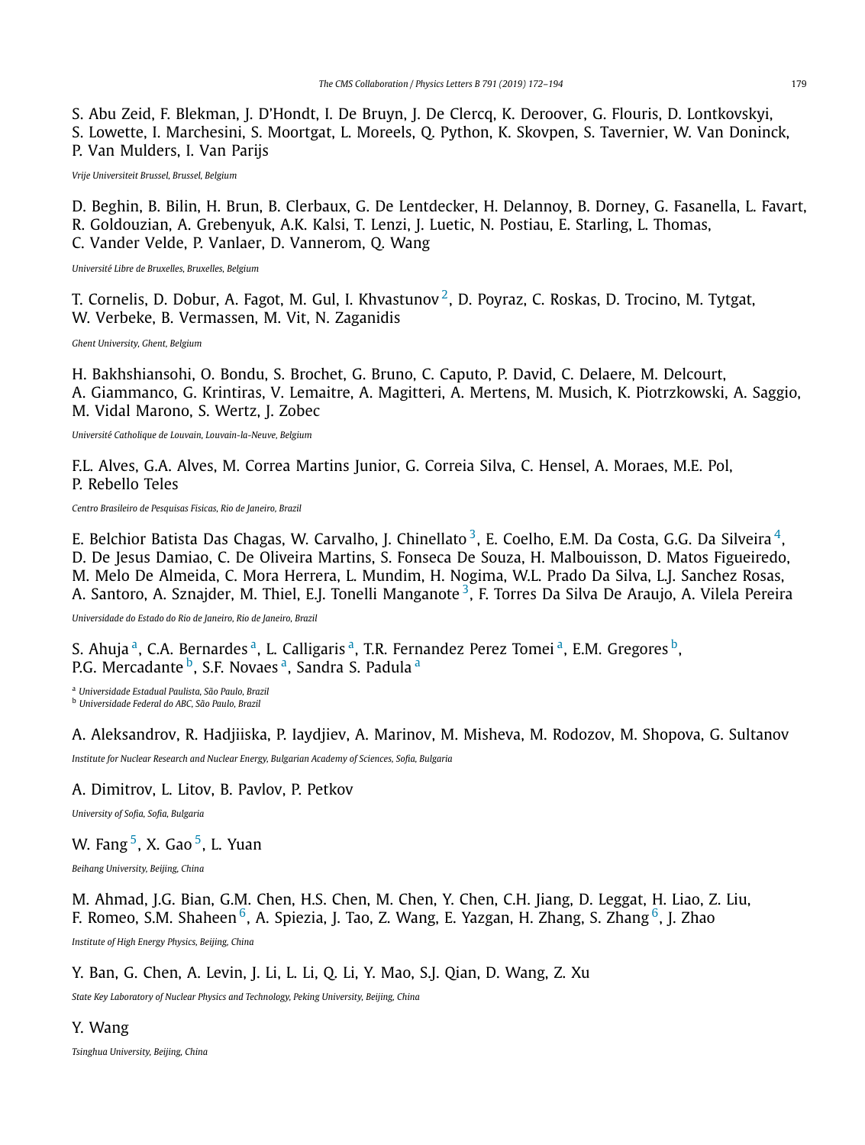S. Abu Zeid, F. Blekman, J. D'Hondt, I. De Bruyn, J. De Clercq, K. Deroover, G. Flouris, D. Lontkovskyi, S. Lowette, I. Marchesini, S. Moortgat, L. Moreels, Q. Python, K. Skovpen, S. Tavernier, W. Van Doninck, P. Van Mulders, I. Van Parijs

*Vrije Universiteit Brussel, Brussel, Belgium*

D. Beghin, B. Bilin, H. Brun, B. Clerbaux, G. De Lentdecker, H. Delannoy, B. Dorney, G. Fasanella, L. Favart, R. Goldouzian, A. Grebenyuk, A.K. Kalsi, T. Lenzi, J. Luetic, N. Postiau, E. Starling, L. Thomas, C. Vander Velde, P. Vanlaer, D. Vannerom, Q. Wang

*Université Libre de Bruxelles, Bruxelles, Belgium*

T. Cornelis, D. Dobur, A. Fagot, M. Gul, I. Khvastunov<sup>2</sup>, D. Poyraz, C. Roskas, D. Trocino, M. Tytgat, W. Verbeke, B. Vermassen, M. Vit, N. Zaganidis

*Ghent University, Ghent, Belgium*

H. Bakhshiansohi, O. Bondu, S. Brochet, G. Bruno, C. Caputo, P. David, C. Delaere, M. Delcourt, A. Giammanco, G. Krintiras, V. Lemaitre, A. Magitteri, A. Mertens, M. Musich, K. Piotrzkowski, A. Saggio, M. Vidal Marono, S. Wertz, J. Zobec

*Université Catholique de Louvain, Louvain-la-Neuve, Belgium*

F.L. Alves, G.A. Alves, M. Correa Martins Junior, G. Correia Silva, C. Hensel, A. Moraes, M.E. Pol, P. Rebello Teles

*Centro Brasileiro de Pesquisas Fisicas, Rio de Janeiro, Brazil*

E. Belchior Batista Das Chagas, W. Carvalho, J. Chinellato<sup>[3](#page-21-0)</sup>, E. Coelho, E.M. Da Costa, G.G. Da Silveira<sup>4</sup>, D. De Jesus Damiao, C. De Oliveira Martins, S. Fonseca De Souza, H. Malbouisson, D. Matos Figueiredo, M. Melo De Almeida, C. Mora Herrera, L. Mundim, H. Nogima, W.L. Prado Da Silva, L.J. Sanchez Rosas, A. Santoro, A. Sznajder, M. Thiel, E.J. Tonelli Manganote<sup>[3](#page-21-0)</sup>, F. Torres Da Silva De Araujo, A. Vilela Pereira

*Universidade do Estado do Rio de Janeiro, Rio de Janeiro, Brazil*

S. Ahuja<sup>a</sup>, C.A. Bernardes<sup>a</sup>, L. Calligaris<sup>a</sup>, T.R. Fernandez Perez Tomei<sup>a</sup>, E.M. Gregores<sup>b</sup>, P.G. Mercadante <sup>b</sup>, S.F. Novaes <sup>a</sup>, Sandra S. Padula <sup>a</sup>

<sup>a</sup> *Universidade Estadual Paulista, São Paulo, Brazil* <sup>b</sup> *Universidade Federal do ABC, São Paulo, Brazil*

A. Aleksandrov, R. Hadjiiska, P. Iaydjiev, A. Marinov, M. Misheva, M. Rodozov, M. Shopova, G. Sultanov

*Institute for Nuclear Research and Nuclear Energy, Bulgarian Academy of Sciences, Sofia, Bulgaria*

A. Dimitrov, L. Litov, B. Pavlov, P. Petkov

*University of Sofia, Sofia, Bulgaria*

W. Fang  $<sup>5</sup>$ , X. Gao  $<sup>5</sup>$ , L. Yuan</sup></sup>

*Beihang University, Beijing, China*

M. Ahmad, J.G. Bian, G.M. Chen, H.S. Chen, M. Chen, Y. Chen, C.H. Jiang, D. Leggat, H. Liao, Z. Liu, F. Romeo, S.M. Shaheen <sup>[6](#page-21-0)</sup>, A. Spiezia, J. Tao, Z. Wang, E. Yazgan, H. Zhang, S. Zhang <sup>6</sup>, J. Zhao

*Institute of High Energy Physics, Beijing, China*

Y. Ban, G. Chen, A. Levin, J. Li, L. Li, Q. Li, Y. Mao, S.J. Qian, D. Wang, Z. Xu

*State Key Laboratory of Nuclear Physics and Technology, Peking University, Beijing, China*

Y. Wang

*Tsinghua University, Beijing, China*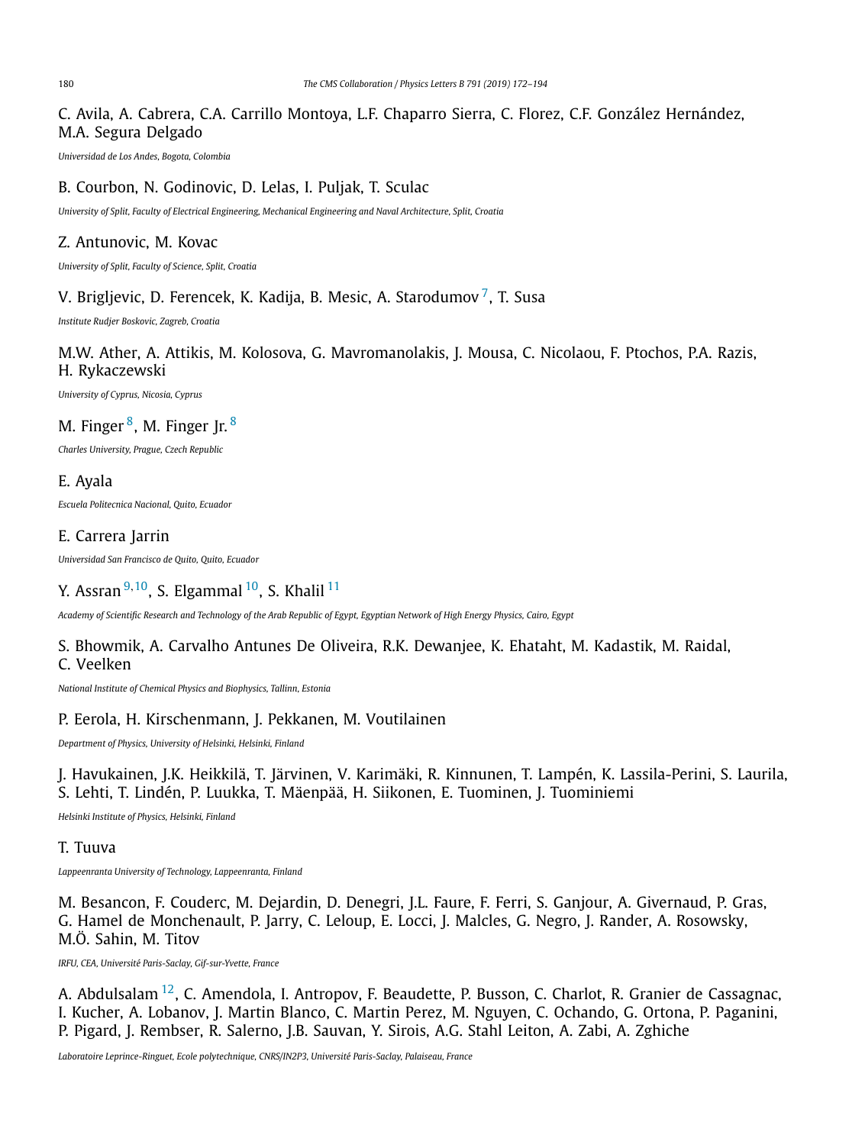# C. Avila, A. Cabrera, C.A. Carrillo Montoya, L.F. Chaparro Sierra, C. Florez, C.F. González Hernández, M.A. Segura Delgado

*Universidad de Los Andes, Bogota, Colombia*

# B. Courbon, N. Godinovic, D. Lelas, I. Puljak, T. Sculac

*University of Split, Faculty of Electrical Engineering, Mechanical Engineering and Naval Architecture, Split, Croatia*

# Z. Antunovic, M. Kovac

*University of Split, Faculty of Science, Split, Croatia*

# V. Brigljevic, D. Ferencek, K. Kadija, B. Mesic, A. Starodumov<sup>7</sup>. T. Susa

*Institute Rudjer Boskovic, Zagreb, Croatia*

# M.W. Ather, A. Attikis, M. Kolosova, G. Mavromanolakis, J. Mousa, C. Nicolaou, F. Ptochos, P.A. Razis, H. Rykaczewski

*University of Cyprus, Nicosia, Cyprus*

# M. Finger  $\frac{8}{3}$  $\frac{8}{3}$  $\frac{8}{3}$ , M. Finger Jr.  $\frac{8}{3}$

*Charles University, Prague, Czech Republic*

# E. Ayala

*Escuela Politecnica Nacional, Quito, Ecuador*

# E. Carrera Jarrin

*Universidad San Francisco de Quito, Quito, Ecuador*

# Y. Assran <sup>[9](#page-21-0),10</sup>, S. Elgammal <sup>10</sup>, S. Khalil <sup>[11](#page-21-0)</sup>

Academy of Scientific Research and Technology of the Arab Republic of Egypt, Egyptian Network of High Energy Physics, Cairo, Egypt

# S. Bhowmik, A. Carvalho Antunes De Oliveira, R.K. Dewanjee, K. Ehataht, M. Kadastik, M. Raidal, C. Veelken

*National Institute of Chemical Physics and Biophysics, Tallinn, Estonia*

# P. Eerola, H. Kirschenmann, J. Pekkanen, M. Voutilainen

*Department of Physics, University of Helsinki, Helsinki, Finland*

J. Havukainen, J.K. Heikkilä, T. Järvinen, V. Karimäki, R. Kinnunen, T. Lampén, K. Lassila-Perini, S. Laurila, S. Lehti, T. Lindén, P. Luukka, T. Mäenpää, H. Siikonen, E. Tuominen, J. Tuominiemi

*Helsinki Institute of Physics, Helsinki, Finland*

# T. Tuuva

*Lappeenranta University of Technology, Lappeenranta, Finland*

M. Besancon, F. Couderc, M. Dejardin, D. Denegri, J.L. Faure, F. Ferri, S. Ganjour, A. Givernaud, P. Gras, G. Hamel de Monchenault, P. Jarry, C. Leloup, E. Locci, J. Malcles, G. Negro, J. Rander, A. Rosowsky, M.Ö. Sahin, M. Titov

*IRFU, CEA, Université Paris-Saclay, Gif-sur-Yvette, France*

A. Abdulsalam [12,](#page-21-0) C. Amendola, I. Antropov, F. Beaudette, P. Busson, C. Charlot, R. Granier de Cassagnac, I. Kucher, A. Lobanov, J. Martin Blanco, C. Martin Perez, M. Nguyen, C. Ochando, G. Ortona, P. Paganini, P. Pigard, J. Rembser, R. Salerno, J.B. Sauvan, Y. Sirois, A.G. Stahl Leiton, A. Zabi, A. Zghiche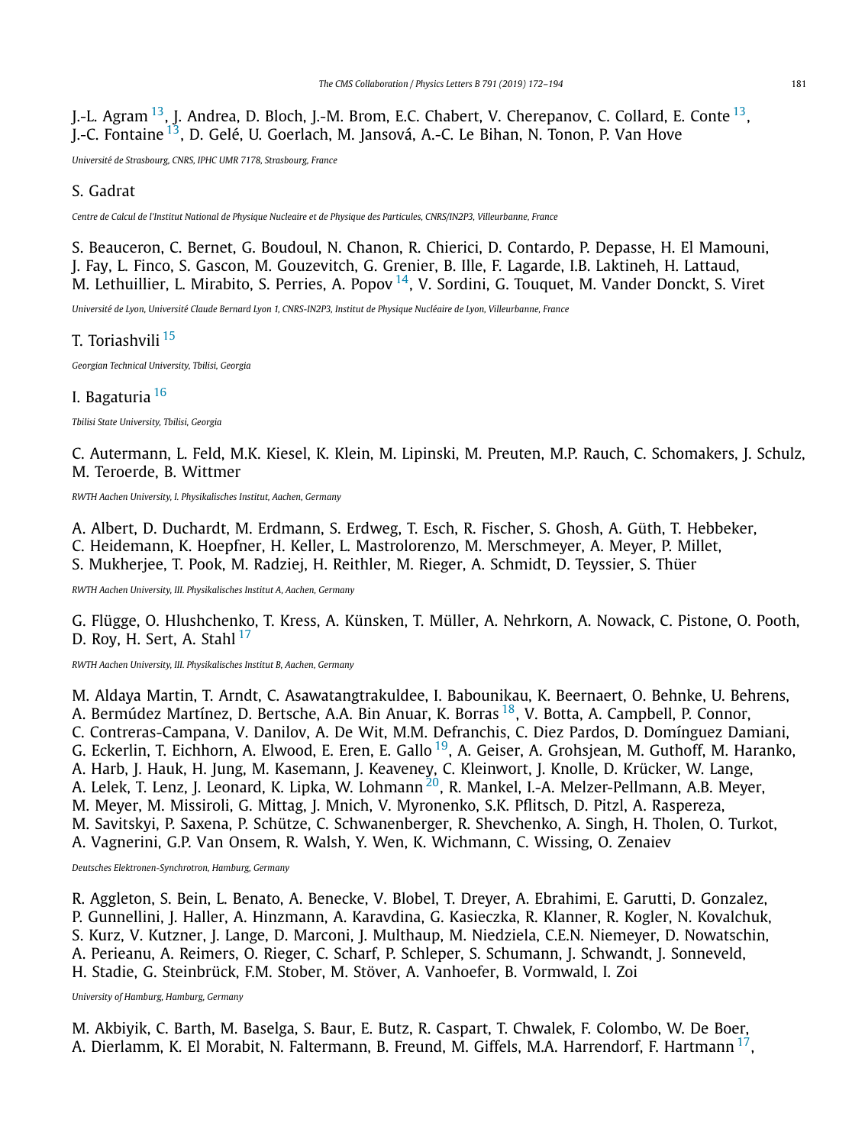J.-L. Agram <sup>13</sup>, J. Andrea, D. Bloch, J.-M. Brom, E.C. Chabert, V. Cherepanov, C. Collard, E. Conte <sup>13</sup>, J.-C. Fontaine [13,](#page-21-0) D. Gelé, U. Goerlach, M. Jansová, A.-C. Le Bihan, N. Tonon, P. Van Hove

*Université de Strasbourg, CNRS, IPHC UMR 7178, Strasbourg, France*

### S. Gadrat

Centre de Calcul de l'Institut National de Physique Nucleaire et de Physique des Particules, CNRS/IN2P3, Villeurbanne, France

S. Beauceron, C. Bernet, G. Boudoul, N. Chanon, R. Chierici, D. Contardo, P. Depasse, H. El Mamouni, J. Fay, L. Finco, S. Gascon, M. Gouzevitch, G. Grenier, B. Ille, F. Lagarde, I.B. Laktineh, H. Lattaud, M. Lethuillier, L. Mirabito, S. Perries, A. Popov <sup>14</sup>, V. Sordini, G. Touquet, M. Vander Donckt, S. Viret

Université de Lyon, Université Claude Bernard Lyon 1, CNRS-IN2P3, Institut de Physique Nucléaire de Lyon, Villeurbanne, France

# T. Toriashvili [15](#page-21-0)

*Georgian Technical University, Tbilisi, Georgia*

# I. Bagaturia [16](#page-21-0)

*Tbilisi State University, Tbilisi, Georgia*

C. Autermann, L. Feld, M.K. Kiesel, K. Klein, M. Lipinski, M. Preuten, M.P. Rauch, C. Schomakers, J. Schulz, M. Teroerde, B. Wittmer

*RWTH Aachen University, I. Physikalisches Institut, Aachen, Germany*

A. Albert, D. Duchardt, M. Erdmann, S. Erdweg, T. Esch, R. Fischer, S. Ghosh, A. Güth, T. Hebbeker, C. Heidemann, K. Hoepfner, H. Keller, L. Mastrolorenzo, M. Merschmeyer, A. Meyer, P. Millet,

S. Mukherjee, T. Pook, M. Radziej, H. Reithler, M. Rieger, A. Schmidt, D. Teyssier, S. Thüer

*RWTH Aachen University, III. Physikalisches Institut A, Aachen, Germany*

G. Flügge, O. Hlushchenko, T. Kress, A. Künsken, T. Müller, A. Nehrkorn, A. Nowack, C. Pistone, O. Pooth, D. Roy, H. Sert, A. Stahl<sup>[17](#page-21-0)</sup>

*RWTH Aachen University, III. Physikalisches Institut B, Aachen, Germany*

M. Aldaya Martin, T. Arndt, C. Asawatangtrakuldee, I. Babounikau, K. Beernaert, O. Behnke, U. Behrens, A. Bermúdez Martínez, D. Bertsche, A.A. Bin Anuar, K. Borras [18,](#page-21-0) V. Botta, A. Campbell, P. Connor, C. Contreras-Campana, V. Danilov, A. De Wit, M.M. Defranchis, C. Diez Pardos, D. Domínguez Damiani, G. Eckerlin, T. Eichhorn, A. Elwood, E. Eren, E. Gallo <sup>19</sup>, A. Geiser, A. Grohsjean, M. Guthoff, M. Haranko, A. Harb, J. Hauk, H. Jung, M. Kasemann, J. Keaveney, C. Kleinwort, J. Knolle, D. Krücker, W. Lange, A. Lelek, T. Lenz, J. Leonard, K. Lipka, W. Lohmann<sup> 20</sup>, R. Mankel, I.-A. Melzer-Pellmann, A.B. Meyer, M. Meyer, M. Missiroli, G. Mittag, J. Mnich, V. Myronenko, S.K. Pflitsch, D. Pitzl, A. Raspereza, M. Savitskyi, P. Saxena, P. Schütze, C. Schwanenberger, R. Shevchenko, A. Singh, H. Tholen, O. Turkot, A. Vagnerini, G.P. Van Onsem, R. Walsh, Y. Wen, K. Wichmann, C. Wissing, O. Zenaiev

*Deutsches Elektronen-Synchrotron, Hamburg, Germany*

R. Aggleton, S. Bein, L. Benato, A. Benecke, V. Blobel, T. Dreyer, A. Ebrahimi, E. Garutti, D. Gonzalez, P. Gunnellini, J. Haller, A. Hinzmann, A. Karavdina, G. Kasieczka, R. Klanner, R. Kogler, N. Kovalchuk, S. Kurz, V. Kutzner, J. Lange, D. Marconi, J. Multhaup, M. Niedziela, C.E.N. Niemeyer, D. Nowatschin, A. Perieanu, A. Reimers, O. Rieger, C. Scharf, P. Schleper, S. Schumann, J. Schwandt, J. Sonneveld, H. Stadie, G. Steinbrück, F.M. Stober, M. Stöver, A. Vanhoefer, B. Vormwald, I. Zoi

*University of Hamburg, Hamburg, Germany*

M. Akbiyik, C. Barth, M. Baselga, S. Baur, E. Butz, R. Caspart, T. Chwalek, F. Colombo, W. De Boer, A. Dierlamm, K. El Morabit, N. Faltermann, B. Freund, M. Giffels, M.A. Harrendorf, F. Hartmann [17,](#page-21-0)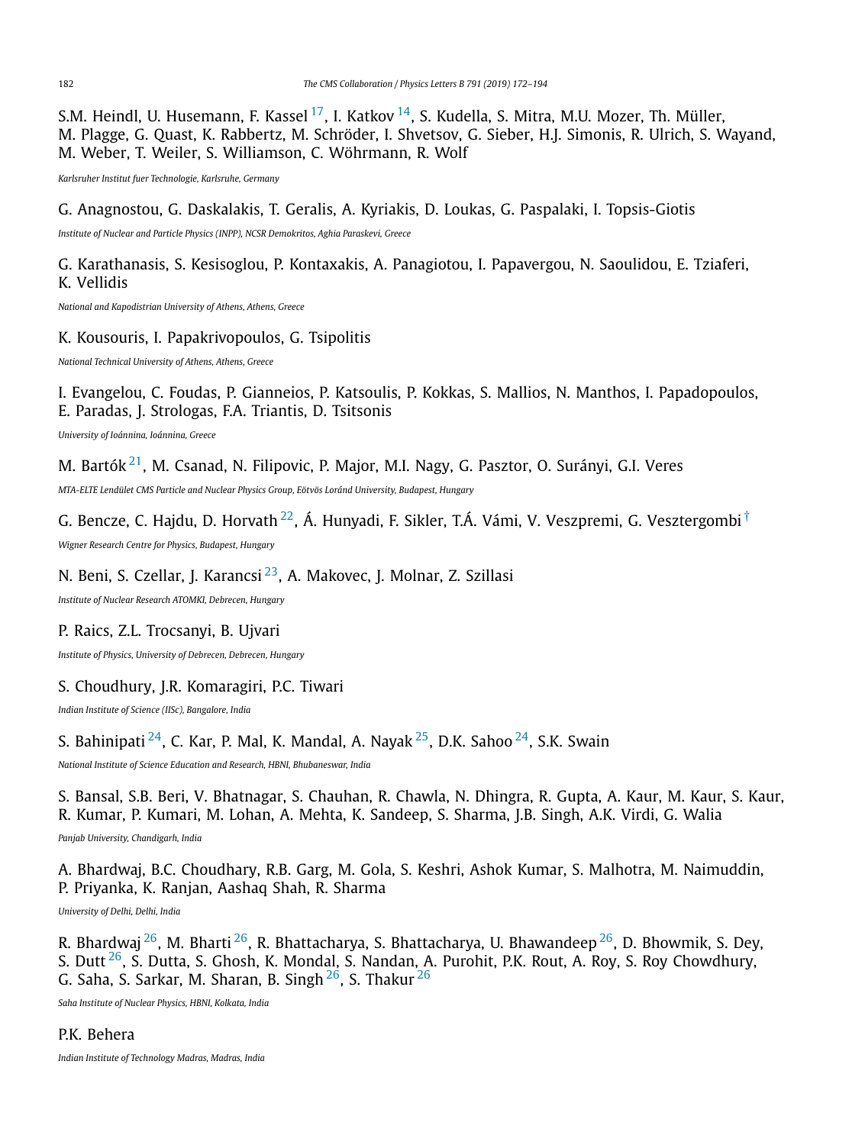S.M. Heindl, U. Husemann, F. Kassel<sup>17</sup>, I. Katkov<sup>14</sup>, S. Kudella, S. Mitra, M.U. Mozer, Th. Müller, M. Plagge, G. Quast, K. Rabbertz, M. Schröder, I. Shvetsov, G. Sieber, H.J. Simonis, R. Ulrich, S. Wayand, M. Weber, T. Weiler, S. Williamson, C. Wöhrmann, R. Wolf

*Karlsruher Institut fuer Technologie, Karlsruhe, Germany*

G. Anagnostou, G. Daskalakis, T. Geralis, A. Kyriakis, D. Loukas, G. Paspalaki, I. Topsis-Giotis

*Institute of Nuclear and Particle Physics (INPP), NCSR Demokritos, Aghia Paraskevi, Greece*

G. Karathanasis, S. Kesisoglou, P. Kontaxakis, A. Panagiotou, I. Papavergou, N. Saoulidou, E. Tziaferi, K. Vellidis

*National and Kapodistrian University of Athens, Athens, Greece*

# K. Kousouris, I. Papakrivopoulos, G. Tsipolitis

*National Technical University of Athens, Athens, Greece*

I. Evangelou, C. Foudas, P. Gianneios, P. Katsoulis, P. Kokkas, S. Mallios, N. Manthos, I. Papadopoulos, E. Paradas, J. Strologas, F.A. Triantis, D. Tsitsonis

*University of Ioánnina, Ioánnina, Greece*

M. Bartók [21,](#page-21-0) M. Csanad, N. Filipovic, P. Major, M.I. Nagy, G. Pasztor, O. Surányi, G.I. Veres

*MTA-ELTE Lendület CMS Particle and Nuclear Physics Group, Eötvös Loránd University, Budapest, Hungary*

G. Bencze, C. Hajdu, D. Horvath  $^{22}$ , Á. Hunyadi, F. Sikler, T.Á. Vámi, V. Veszpremi, G. Vesztergombi  $^{\dagger}$ 

*Wigner Research Centre for Physics, Budapest, Hungary*

# N. Beni, S. Czellar, J. Karancsi [23,](#page-21-0) A. Makovec, J. Molnar, Z. Szillasi

*Institute of Nuclear Research ATOMKI, Debrecen, Hungary*

# P. Raics, Z.L. Trocsanyi, B. Ujvari

*Institute of Physics, University of Debrecen, Debrecen, Hungary*

# S. Choudhury, J.R. Komaragiri, P.C. Tiwari

*Indian Institute of Science (IISc), Bangalore, India*

# S. Bahinipati  $^{24}$  $^{24}$  $^{24}$ , C. Kar, P. Mal, K. Mandal, A. Nayak  $^{25}$ , D.K. Sahoo  $^{24}$ , S.K. Swain

*National Institute of Science Education and Research, HBNI, Bhubaneswar, India*

S. Bansal, S.B. Beri, V. Bhatnagar, S. Chauhan, R. Chawla, N. Dhingra, R. Gupta, A. Kaur, M. Kaur, S. Kaur, R. Kumar, P. Kumari, M. Lohan, A. Mehta, K. Sandeep, S. Sharma, J.B. Singh, A.K. Virdi, G. Walia

*Panjab University, Chandigarh, India*

A. Bhardwaj, B.C. Choudhary, R.B. Garg, M. Gola, S. Keshri, Ashok Kumar, S. Malhotra, M. Naimuddin, P. Priyanka, K. Ranjan, Aashaq Shah, R. Sharma

*University of Delhi, Delhi, India*

R. Bhardwaj [26,](#page-21-0) M. Bharti [26,](#page-21-0) R. Bhattacharya, S. Bhattacharya, U. Bhawandeep [26,](#page-21-0) D. Bhowmik, S. Dey, S. Dutt [26,](#page-21-0) S. Dutta, S. Ghosh, K. Mondal, S. Nandan, A. Purohit, P.K. Rout, A. Roy, S. Roy Chowdhury, G. Saha, S. Sarkar, M. Sharan, B. Singh  $26$ , S. Thakur  $26$ 

*Saha Institute of Nuclear Physics, HBNI, Kolkata, India*

# P.K. Behera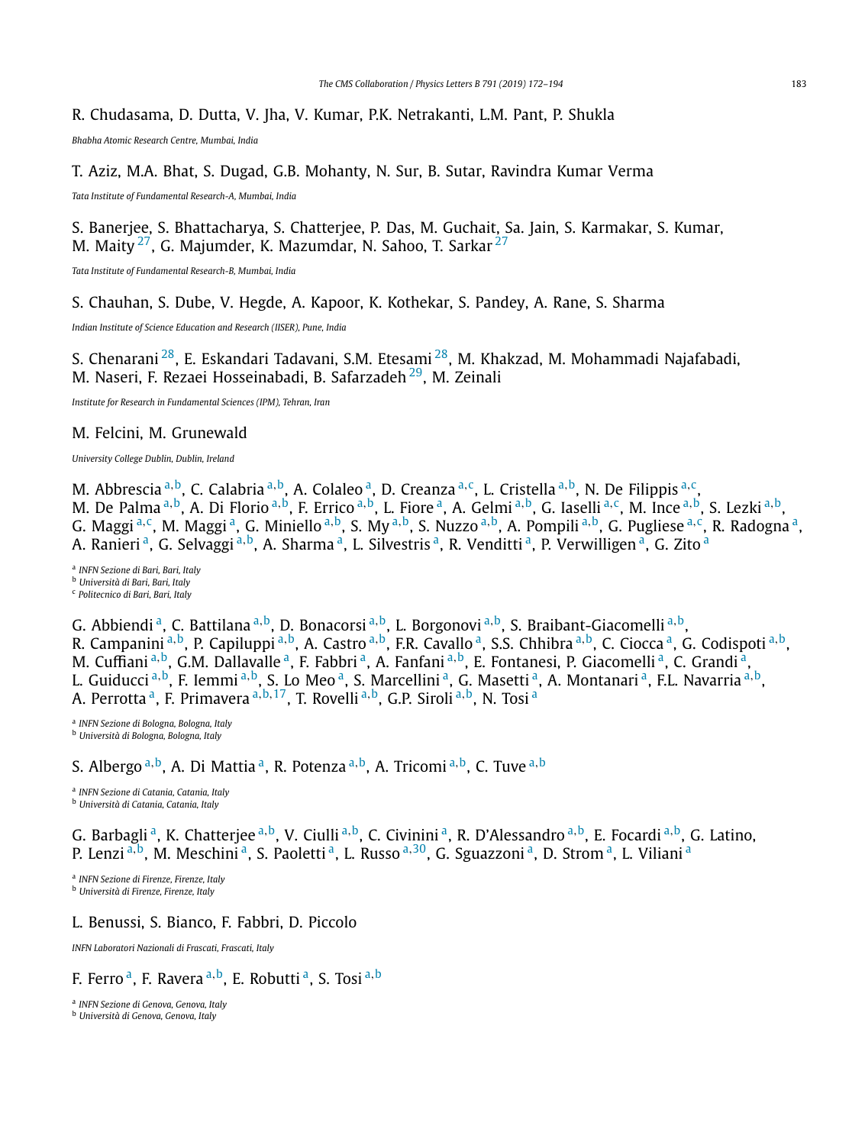# R. Chudasama, D. Dutta, V. Jha, V. Kumar, P.K. Netrakanti, L.M. Pant, P. Shukla

*Bhabha Atomic Research Centre, Mumbai, India*

# T. Aziz, M.A. Bhat, S. Dugad, G.B. Mohanty, N. Sur, B. Sutar, Ravindra Kumar Verma

*Tata Institute of Fundamental Research-A, Mumbai, India*

S. Banerjee, S. Bhattacharya, S. Chatterjee, P. Das, M. Guchait, Sa. Jain, S. Karmakar, S. Kumar, M. Maity  $2^7$ , G. Majumder, K. Mazumdar, N. Sahoo, T. Sarkar  $2^7$ 

*Tata Institute of Fundamental Research-B, Mumbai, India*

S. Chauhan, S. Dube, V. Hegde, A. Kapoor, K. Kothekar, S. Pandey, A. Rane, S. Sharma

*Indian Institute of Science Education and Research (IISER), Pune, India*

S. Chenarani [28,](#page-21-0) E. Eskandari Tadavani, S.M. Etesami [28,](#page-21-0) M. Khakzad, M. Mohammadi Najafabadi, M. Naseri, F. Rezaei Hosseinabadi, B. Safarzadeh<sup>[29](#page-21-0)</sup>, M. Zeinali

*Institute for Research in Fundamental Sciences (IPM), Tehran, Iran*

#### M. Felcini, M. Grunewald

*University College Dublin, Dublin, Ireland*

M. Abbrescia <sup>a</sup>*,*b, C. Calabria <sup>a</sup>*,*b, A. Colaleo a, D. Creanza <sup>a</sup>*,*c, L. Cristella <sup>a</sup>*,*b, N. De Filippis <sup>a</sup>*,*c, M. De Palma <sup>a</sup>*,*b, A. Di Florio <sup>a</sup>*,*b, F. Errico <sup>a</sup>*,*b, L. Fiore a, A. Gelmi <sup>a</sup>*,*b, G. Iaselli <sup>a</sup>*,*c, M. Ince <sup>a</sup>*,*b, S. Lezki <sup>a</sup>*,*b, G. Maggi <sup>a</sup>*,*c, M. Maggi a, G. Miniello <sup>a</sup>*,*b, S. My <sup>a</sup>*,*b, S. Nuzzo <sup>a</sup>*,*b, A. Pompili <sup>a</sup>*,*b, G. Pugliese <sup>a</sup>*,*c, R. Radogna a, A. Ranieri<sup>a</sup>, G. Selvaggi<sup>a, b</sup>, A. Sharma<sup>a</sup>, L. Silvestris<sup>a</sup>, R. Venditti<sup>a</sup>, P. Verwilligen<sup>a</sup>, G. Zito<sup>a</sup>

<sup>a</sup> *INFN Sezione di Bari, Bari, Italy*

<sup>b</sup> *Università di Bari, Bari, Italy*

<sup>c</sup> *Politecnico di Bari, Bari, Italy*

G. Abbiendi a, C. Battilana <sup>a</sup>*,*b, D. Bonacorsi <sup>a</sup>*,*b, L. Borgonovi <sup>a</sup>*,*b, S. Braibant-Giacomelli <sup>a</sup>*,*b, R. Campanini <sup>a</sup>*,*b, P. Capiluppi <sup>a</sup>*,*b, A. Castro <sup>a</sup>*,*b, F.R. Cavallo a, S.S. Chhibra <sup>a</sup>*,*b, C. Ciocca a, G. Codispoti <sup>a</sup>*,*b, M. Cuffiani a, b, G.M. Dallavalle a, F. Fabbri <sup>a</sup>, A. Fanfani a, b, E. Fontanesi, P. Giacomelli <sup>a</sup>, C. Grandi<sup>a</sup>, L. Guiducci a, b, F. Iemmi a, b, S. Lo Meo a, S. Marcellini a, G. Masetti a, A. Montanari a, F.L. Navarria a, b, A. Perrotta a, F. Primavera <sup>a</sup>*,*b*,*[17,](#page-21-0) T. Rovelli <sup>a</sup>*,*b, G.P. Siroli <sup>a</sup>*,*b, N. Tosi <sup>a</sup>

<sup>a</sup> *INFN Sezione di Bologna, Bologna, Italy* <sup>b</sup> *Università di Bologna, Bologna, Italy*

# S. Albergo <sup>a</sup>*,*b, A. Di Mattia a, R. Potenza <sup>a</sup>*,*b, A. Tricomi <sup>a</sup>*,*b, C. Tuve <sup>a</sup>*,*<sup>b</sup>

<sup>a</sup> *INFN Sezione di Catania, Catania, Italy* <sup>b</sup> *Università di Catania, Catania, Italy*

G. Barbagli a, K. Chatterjee <sup>a</sup>*,*b, V. Ciulli <sup>a</sup>*,*b, C. Civinini a, R. D'Alessandro <sup>a</sup>*,*b, E. Focardi <sup>a</sup>*,*b, G. Latino, P. Lenzi <sup>a</sup>*,*b, M. Meschini a, S. Paoletti a, L. Russo <sup>a</sup>*,*[30,](#page-21-0) G. Sguazzoni a, D. Strom a, L. Viliani <sup>a</sup>

<sup>a</sup> *INFN Sezione di Firenze, Firenze, Italy* <sup>b</sup> *Università di Firenze, Firenze, Italy*

### L. Benussi, S. Bianco, F. Fabbri, D. Piccolo

*INFN Laboratori Nazionali di Frascati, Frascati, Italy*

# F. Ferro a, F. Ravera <sup>a</sup>*,*b, E. Robutti a, S. Tosi <sup>a</sup>*,*<sup>b</sup>

<sup>a</sup> *INFN Sezione di Genova, Genova, Italy*

<sup>b</sup> *Università di Genova, Genova, Italy*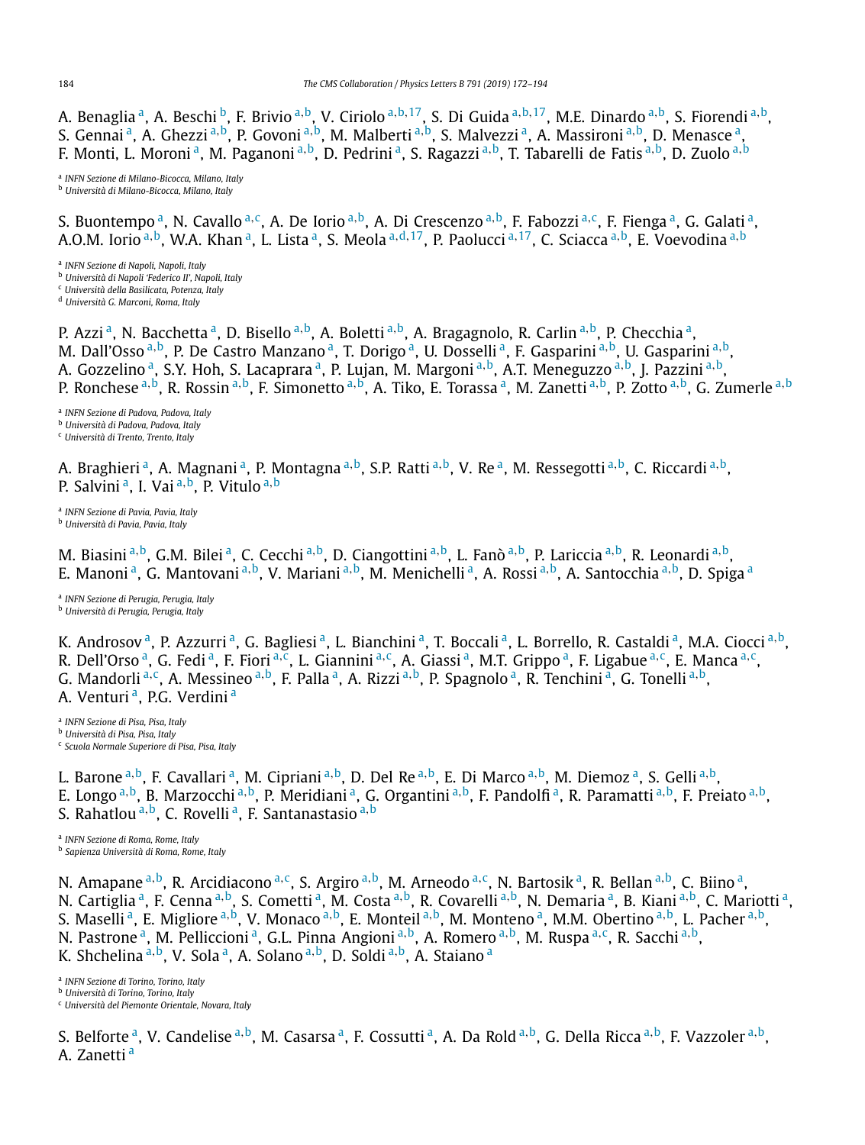A. Benaglia<sup>a</sup>, A. Beschi<sup>b</sup>, F. Brivio<sup>a,b</sup>, V. Ciriolo<sup>a,b,17</sup>, S. Di Guida<sup>a,b,17</sup>, M.E. Dinardo<sup>a,b</sup>, S. Fiorendi<sup>a,b</sup>, S. Gennai <sup>a</sup>, A. Ghezzi <sup>a,b</sup>, P. Govoni <sup>a,b</sup>, M. Malberti <sup>a,b</sup>, S. Malvezzi <sup>a</sup>, A. Massironi <sup>a,b</sup>, D. Menasce <sup>a</sup>, F. Monti, L. Moroni a, M. Paganoni <sup>a</sup>*,*b, D. Pedrini a, S. Ragazzi <sup>a</sup>*,*b, T. Tabarelli de Fatis <sup>a</sup>*,*b, D. Zuolo <sup>a</sup>*,*<sup>b</sup>

<sup>a</sup> *INFN Sezione di Milano-Bicocca, Milano, Italy* <sup>b</sup> *Università di Milano-Bicocca, Milano, Italy*

S. Buontempo <sup>a</sup>, N. Cavallo <sup>a, c</sup>, A. De Iorio <sup>a, b</sup>, A. Di Crescenzo <sup>a, b</sup>, F. Fabozzi <sup>a, c</sup>, F. Fienga <sup>a</sup>, G. Galati <sup>a</sup>, A.O.M. Iorio <sup>a</sup>*,*b, W.A. Khan a, L. Lista a, S. Meola <sup>a</sup>*,*d*,*[17,](#page-21-0) P. Paolucci <sup>a</sup>*,*[17,](#page-21-0) C. Sciacca <sup>a</sup>*,*b, E. Voevodina <sup>a</sup>*,*<sup>b</sup>

<sup>a</sup> *INFN Sezione di Napoli, Napoli, Italy*

<sup>b</sup> *Università di Napoli 'Federico II', Napoli, Italy*

<sup>c</sup> *Università della Basilicata, Potenza, Italy* <sup>d</sup> *Università G. Marconi, Roma, Italy*

P. Azzi a, N. Bacchetta a, D. Bisello <sup>a</sup>*,*b, A. Boletti <sup>a</sup>*,*b, A. Bragagnolo, R. Carlin <sup>a</sup>*,*b, P. Checchia a, M. Dall'Osso a,b, P. De Castro Manzano <sup>a</sup>, T. Dorigo <sup>a</sup>, U. Dosselli <sup>a</sup>, F. Gasparini <sup>a,b</sup>, U. Gasparini <sup>a,b</sup>, A. Gozzelino a, S.Y. Hoh, S. Lacaprara a, P. Lujan, M. Margoni <sup>a</sup>*,*b, A.T. Meneguzzo <sup>a</sup>*,*b, J. Pazzini <sup>a</sup>*,*b, P. Ronchese <sup>a</sup>*,*b, R. Rossin <sup>a</sup>*,*b, F. Simonetto <sup>a</sup>*,*b, A. Tiko, E. Torassa a, M. Zanetti <sup>a</sup>*,*b, P. Zotto <sup>a</sup>*,*b, G. Zumerle <sup>a</sup>*,*<sup>b</sup>

<sup>a</sup> *INFN Sezione di Padova, Padova, Italy*

<sup>b</sup> *Università di Padova, Padova, Italy*

<sup>c</sup> *Università di Trento, Trento, Italy*

A. Braghieri<sup>a</sup>, A. Magnani<sup>a</sup>, P. Montagna<sup>a,b</sup>, S.P. Ratti<sup>a,b</sup>, V. Re<sup>a</sup>, M. Ressegotti<sup>a,b</sup>, C. Riccardi<sup>a,b</sup>, P. Salvini a, I. Vai <sup>a</sup>*,*b, P. Vitulo <sup>a</sup>*,*<sup>b</sup>

<sup>a</sup> *INFN Sezione di Pavia, Pavia, Italy*

<sup>b</sup> *Università di Pavia, Pavia, Italy*

M. Biasini <sup>a</sup>*,*b, G.M. Bilei a, C. Cecchi <sup>a</sup>*,*b, D. Ciangottini <sup>a</sup>*,*b, L. Fanò <sup>a</sup>*,*b, P. Lariccia <sup>a</sup>*,*b, R. Leonardi <sup>a</sup>*,*b, E. Manoni a, G. Mantovani <sup>a</sup>*,*b, V. Mariani <sup>a</sup>*,*b, M. Menichelli a, A. Rossi <sup>a</sup>*,*b, A. Santocchia <sup>a</sup>*,*b, D. Spiga <sup>a</sup>

<sup>a</sup> *INFN Sezione di Perugia, Perugia, Italy*

<sup>b</sup> *Università di Perugia, Perugia, Italy*

K. Androsov<sup>a</sup>, P. Azzurri<sup>a</sup>, G. Bagliesi<sup>a</sup>, L. Bianchini<sup>a</sup>, T. Boccali<sup>a</sup>, L. Borrello, R. Castaldi<sup>a</sup>, M.A. Ciocci<sup>a,b</sup>, R. Dell'Orso a, G. Fedi a, F. Fiori <sup>a</sup>*,*c, L. Giannini <sup>a</sup>*,*c, A. Giassi a, M.T. Grippo a, F. Ligabue <sup>a</sup>*,*c, E. Manca <sup>a</sup>*,*c, G. Mandorli <sup>a</sup>*,*c, A. Messineo <sup>a</sup>*,*b, F. Palla a, A. Rizzi <sup>a</sup>*,*b, P. Spagnolo a, R. Tenchini a, G. Tonelli <sup>a</sup>*,*b, A. Venturi<sup>a</sup>, P.G. Verdini<sup>a</sup>

<sup>a</sup> *INFN Sezione di Pisa, Pisa, Italy*

<sup>b</sup> *Università di Pisa, Pisa, Italy* <sup>c</sup> *Scuola Normale Superiore di Pisa, Pisa, Italy*

L. Barone a,b, F. Cavallari <sup>a</sup>, M. Cipriani <sup>a, b</sup>, D. Del Re <sup>a, b</sup>, E. Di Marco <sup>a, b</sup>, M. Diemoz <sup>a</sup>, S. Gelli <sup>a, b</sup>, E. Longo <sup>a</sup>*,*b, B. Marzocchi <sup>a</sup>*,*b, P. Meridiani a, G. Organtini <sup>a</sup>*,*b, F. Pandolfi a, R. Paramatti <sup>a</sup>*,*b, F. Preiato <sup>a</sup>*,*b, S. Rahatlou <sup>a</sup>*,*b, C. Rovelli a, F. Santanastasio <sup>a</sup>*,*<sup>b</sup>

<sup>a</sup> *INFN Sezione di Roma, Rome, Italy* <sup>b</sup> *Sapienza Università di Roma, Rome, Italy*

N. Amapane <sup>a</sup>*,*b, R. Arcidiacono <sup>a</sup>*,*c, S. Argiro <sup>a</sup>*,*b, M. Arneodo <sup>a</sup>*,*c, N. Bartosik a, R. Bellan <sup>a</sup>*,*b, C. Biino a, N. Cartiglia a, F. Cenna <sup>a</sup>*,*b, S. Cometti a, M. Costa <sup>a</sup>*,*b, R. Covarelli <sup>a</sup>*,*b, N. Demaria a, B. Kiani <sup>a</sup>*,*b, C. Mariotti a, S. Maselli a, E. Migliore <sup>a</sup>*,*b, V. Monaco <sup>a</sup>*,*b, E. Monteil <sup>a</sup>*,*b, M. Monteno a, M.M. Obertino <sup>a</sup>*,*b, L. Pacher <sup>a</sup>*,*b, N. Pastrone a, M. Pelliccioni a, G.L. Pinna Angioni <sup>a</sup>*,*b, A. Romero <sup>a</sup>*,*b, M. Ruspa <sup>a</sup>*,*c, R. Sacchi <sup>a</sup>*,*b, K. Shchelina <sup>a</sup>*,*b, V. Sola a, A. Solano <sup>a</sup>*,*b, D. Soldi <sup>a</sup>*,*b, A. Staiano <sup>a</sup>

<sup>a</sup> *INFN Sezione di Torino, Torino, Italy*

<sup>b</sup> *Università di Torino, Torino, Italy*

<sup>c</sup> *Università del Piemonte Orientale, Novara, Italy*

S. Belforte [a,](#page-13-0) V. Candelise [a](#page-13-0)*,*[b,](#page-13-0) M. Casarsa [a,](#page-13-0) F. Cossutti [a,](#page-13-0) A. Da Rold [a](#page-13-0)*,*[b,](#page-13-0) G. Della Ricca [a](#page-13-0)*,*[b,](#page-13-0) F. Vazzoler [a](#page-13-0)*,*[b,](#page-13-0) A. Z[a](#page-13-0)netti<sup>a</sup>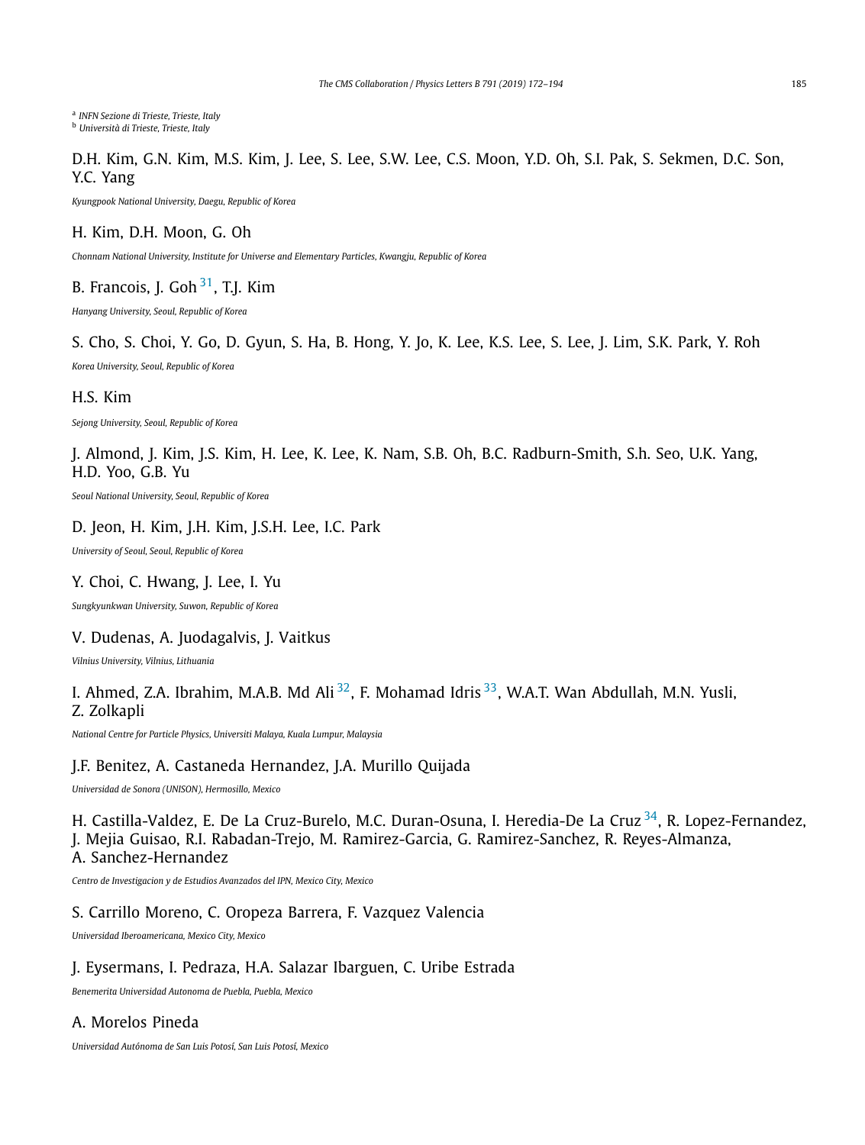<span id="page-13-0"></span><sup>a</sup> *INFN Sezione di Trieste, Trieste, Italy* <sup>b</sup> *Università di Trieste, Trieste, Italy*

D.H. Kim, G.N. Kim, M.S. Kim, J. Lee, S. Lee, S.W. Lee, C.S. Moon, Y.D. Oh, S.I. Pak, S. Sekmen, D.C. Son, Y.C. Yang

*Kyungpook National University, Daegu, Republic of Korea*

# H. Kim, D.H. Moon, G. Oh

*Chonnam National University, Institute for Universe and Elementary Particles, Kwangju, Republic of Korea*

# B. Francois, J. Goh $<sup>31</sup>$ , T.I. Kim</sup>

*Hanyang University, Seoul, Republic of Korea*

S. Cho, S. Choi, Y. Go, D. Gyun, S. Ha, B. Hong, Y. Jo, K. Lee, K.S. Lee, S. Lee, J. Lim, S.K. Park, Y. Roh *Korea University, Seoul, Republic of Korea*

# H.S. Kim

*Sejong University, Seoul, Republic of Korea*

# J. Almond, J. Kim, J.S. Kim, H. Lee, K. Lee, K. Nam, S.B. Oh, B.C. Radburn-Smith, S.h. Seo, U.K. Yang, H.D. Yoo, G.B. Yu

*Seoul National University, Seoul, Republic of Korea*

# D. Jeon, H. Kim, J.H. Kim, J.S.H. Lee, I.C. Park

*University of Seoul, Seoul, Republic of Korea*

# Y. Choi, C. Hwang, J. Lee, I. Yu

*Sungkyunkwan University, Suwon, Republic of Korea*

# V. Dudenas, A. Juodagalvis, J. Vaitkus

*Vilnius University, Vilnius, Lithuania*

# I. Ahmed, Z.A. Ibrahim, M.A.B. Md Ali  $^{32}$ , F. Mohamad Idris  $^{33}$ , W.A.T. Wan Abdullah, M.N. Yusli, Z. Zolkapli

*National Centre for Particle Physics, Universiti Malaya, Kuala Lumpur, Malaysia*

# J.F. Benitez, A. Castaneda Hernandez, J.A. Murillo Quijada

*Universidad de Sonora (UNISON), Hermosillo, Mexico*

H. Castilla-Valdez, E. De La Cruz-Burelo, M.C. Duran-Osuna, I. Heredia-De La Cruz<sup>34</sup>, R. Lopez-Fernandez. J. Mejia Guisao, R.I. Rabadan-Trejo, M. Ramirez-Garcia, G. Ramirez-Sanchez, R. Reyes-Almanza, A. Sanchez-Hernandez

*Centro de Investigacion y de Estudios Avanzados del IPN, Mexico City, Mexico*

# S. Carrillo Moreno, C. Oropeza Barrera, F. Vazquez Valencia

*Universidad Iberoamericana, Mexico City, Mexico*

# J. Eysermans, I. Pedraza, H.A. Salazar Ibarguen, C. Uribe Estrada

*Benemerita Universidad Autonoma de Puebla, Puebla, Mexico*

# A. Morelos Pineda

*Universidad Autónoma de San Luis Potosí, San Luis Potosí, Mexico*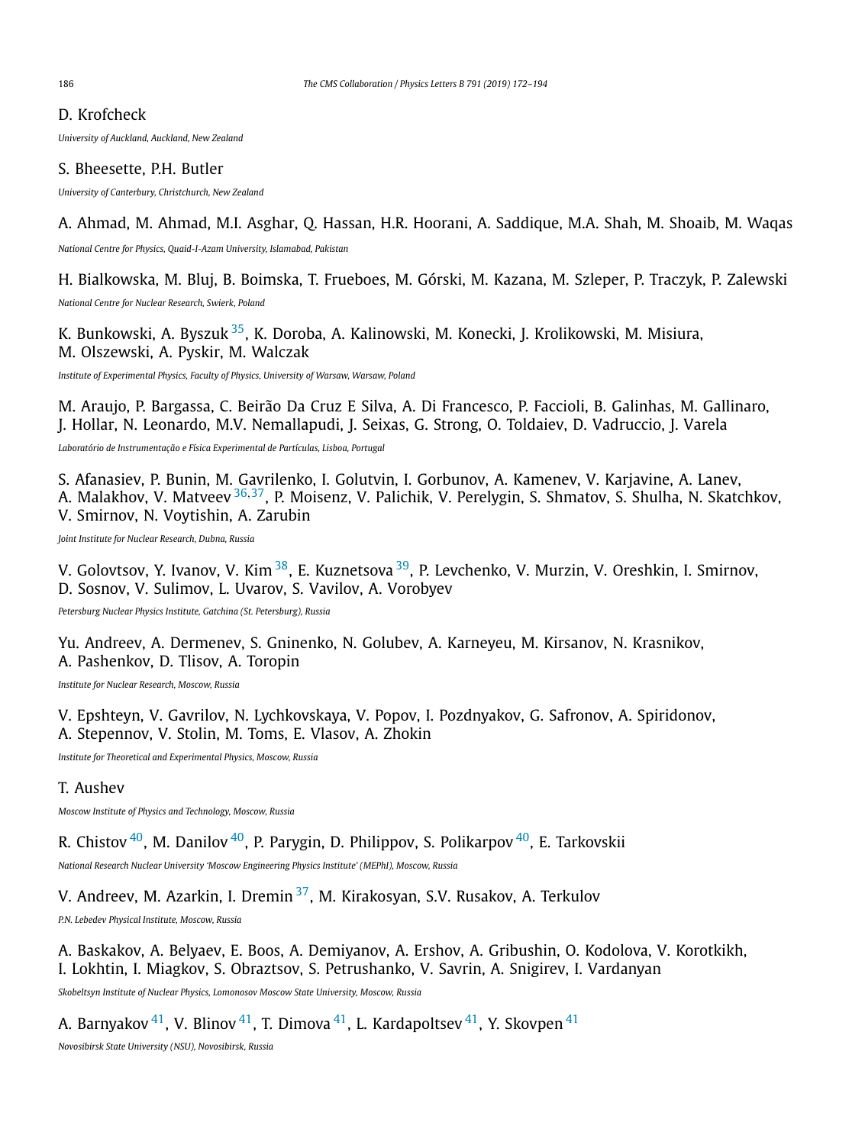# D. Krofcheck

*University of Auckland, Auckland, New Zealand*

### S. Bheesette, P.H. Butler

*University of Canterbury, Christchurch, New Zealand*

## A. Ahmad, M. Ahmad, M.I. Asghar, Q. Hassan, H.R. Hoorani, A. Saddique, M.A. Shah, M. Shoaib, M. Waqas

*National Centre for Physics, Quaid-I-Azam University, Islamabad, Pakistan*

H. Bialkowska, M. Bluj, B. Boimska, T. Frueboes, M. Górski, M. Kazana, M. Szleper, P. Traczyk, P. Zalewski *National Centre for Nuclear Research, Swierk, Poland*

K. Bunkowski, A. Byszuk<sup>[35](#page-21-0)</sup>, K. Doroba, A. Kalinowski, M. Konecki, J. Krolikowski, M. Misiura, M. Olszewski, A. Pyskir, M. Walczak

*Institute of Experimental Physics, Faculty of Physics, University of Warsaw, Warsaw, Poland*

M. Araujo, P. Bargassa, C. Beirão Da Cruz E Silva, A. Di Francesco, P. Faccioli, B. Galinhas, M. Gallinaro, J. Hollar, N. Leonardo, M.V. Nemallapudi, J. Seixas, G. Strong, O. Toldaiev, D. Vadruccio, J. Varela

*Laboratório de Instrumentação e Física Experimental de Partículas, Lisboa, Portugal*

S. Afanasiev, P. Bunin, M. Gavrilenko, I. Golutvin, I. Gorbunov, A. Kamenev, V. Karjavine, A. Lanev, A. Malakhov, V. Matveev [36](#page-21-0)*,*[37,](#page-21-0) P. Moisenz, V. Palichik, V. Perelygin, S. Shmatov, S. Shulha, N. Skatchkov, V. Smirnov, N. Voytishin, A. Zarubin

*Joint Institute for Nuclear Research, Dubna, Russia*

V. Golovtsov, Y. Ivanov, V. Kim<sup>[38](#page-21-0)</sup>, E. Kuznetsova<sup>39</sup>, P. Levchenko, V. Murzin, V. Oreshkin, I. Smirnov, D. Sosnov, V. Sulimov, L. Uvarov, S. Vavilov, A. Vorobyev

*Petersburg Nuclear Physics Institute, Gatchina (St. Petersburg), Russia*

Yu. Andreev, A. Dermenev, S. Gninenko, N. Golubev, A. Karneyeu, M. Kirsanov, N. Krasnikov, A. Pashenkov, D. Tlisov, A. Toropin

*Institute for Nuclear Research, Moscow, Russia*

V. Epshteyn, V. Gavrilov, N. Lychkovskaya, V. Popov, I. Pozdnyakov, G. Safronov, A. Spiridonov, A. Stepennov, V. Stolin, M. Toms, E. Vlasov, A. Zhokin

*Institute for Theoretical and Experimental Physics, Moscow, Russia*

### T. Aushev

*Moscow Institute of Physics and Technology, Moscow, Russia*

R. Chistov<sup>40</sup>, M. Danilov<sup>40</sup>, P. Parygin, D. Philippov, S. Polikarpov<sup>40</sup>, E. Tarkovskii *National Research Nuclear University 'Moscow Engineering Physics Institute' (MEPhI), Moscow, Russia*

V. Andreev, M. Azarkin, I. Dremin [37,](#page-21-0) M. Kirakosyan, S.V. Rusakov, A. Terkulov

*P.N. Lebedev Physical Institute, Moscow, Russia*

A. Baskakov, A. Belyaev, E. Boos, A. Demiyanov, A. Ershov, A. Gribushin, O. Kodolova, V. Korotkikh, I. Lokhtin, I. Miagkov, S. Obraztsov, S. Petrushanko, V. Savrin, A. Snigirev, I. Vardanyan

*Skobeltsyn Institute of Nuclear Physics, Lomonosov Moscow State University, Moscow, Russia*

A. Barnyakov  $^{41}$  $^{41}$  $^{41}$ , V. Blinov  $^{41}$ , T. Dimova  $^{41}$ , L. Kardapoltsev  $^{41}$ , Y. Skovpen  $^{41}$ 

*Novosibirsk State University (NSU), Novosibirsk, Russia*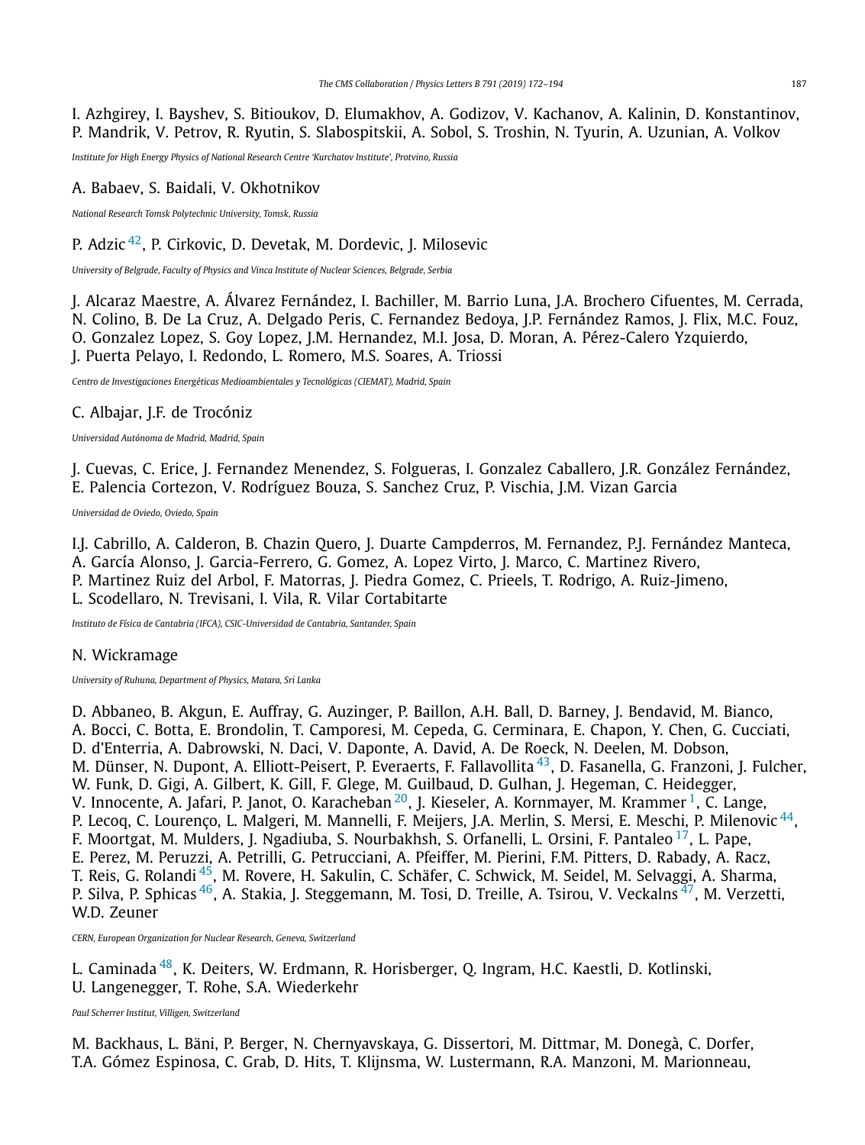I. Azhgirey, I. Bayshev, S. Bitioukov, D. Elumakhov, A. Godizov, V. Kachanov, A. Kalinin, D. Konstantinov, P. Mandrik, V. Petrov, R. Ryutin, S. Slabospitskii, A. Sobol, S. Troshin, N. Tyurin, A. Uzunian, A. Volkov

*Institute for High Energy Physics of National Research Centre 'Kurchatov Institute', Protvino, Russia*

# A. Babaev, S. Baidali, V. Okhotnikov

*National Research Tomsk Polytechnic University, Tomsk, Russia*

# P. Adzic [42,](#page-21-0) P. Cirkovic, D. Devetak, M. Dordevic, J. Milosevic

*University of Belgrade, Faculty of Physics and Vinca Institute of Nuclear Sciences, Belgrade, Serbia*

J. Alcaraz Maestre, A. Álvarez Fernández, I. Bachiller, M. Barrio Luna, J.A. Brochero Cifuentes, M. Cerrada, N. Colino, B. De La Cruz, A. Delgado Peris, C. Fernandez Bedoya, J.P. Fernández Ramos, J. Flix, M.C. Fouz, O. Gonzalez Lopez, S. Goy Lopez, J.M. Hernandez, M.I. Josa, D. Moran, A. Pérez-Calero Yzquierdo, J. Puerta Pelayo, I. Redondo, L. Romero, M.S. Soares, A. Triossi

*Centro de Investigaciones Energéticas Medioambientales y Tecnológicas (CIEMAT), Madrid, Spain*

# C. Albajar, J.F. de Trocóniz

*Universidad Autónoma de Madrid, Madrid, Spain*

J. Cuevas, C. Erice, J. Fernandez Menendez, S. Folgueras, I. Gonzalez Caballero, J.R. González Fernández, E. Palencia Cortezon, V. Rodríguez Bouza, S. Sanchez Cruz, P. Vischia, J.M. Vizan Garcia

*Universidad de Oviedo, Oviedo, Spain*

I.J. Cabrillo, A. Calderon, B. Chazin Quero, J. Duarte Campderros, M. Fernandez, P.J. Fernández Manteca, A. García Alonso, J. Garcia-Ferrero, G. Gomez, A. Lopez Virto, J. Marco, C. Martinez Rivero, P. Martinez Ruiz del Arbol, F. Matorras, J. Piedra Gomez, C. Prieels, T. Rodrigo, A. Ruiz-Jimeno, L. Scodellaro, N. Trevisani, I. Vila, R. Vilar Cortabitarte

*Instituto de Física de Cantabria (IFCA), CSIC-Universidad de Cantabria, Santander, Spain*

### N. Wickramage

*University of Ruhuna, Department of Physics, Matara, Sri Lanka*

D. Abbaneo, B. Akgun, E. Auffray, G. Auzinger, P. Baillon, A.H. Ball, D. Barney, J. Bendavid, M. Bianco, A. Bocci, C. Botta, E. Brondolin, T. Camporesi, M. Cepeda, G. Cerminara, E. Chapon, Y. Chen, G. Cucciati, D. d'Enterria, A. Dabrowski, N. Daci, V. Daponte, A. David, A. De Roeck, N. Deelen, M. Dobson, M. Dünser, N. Dupont, A. Elliott-Peisert, P. Everaerts, F. Fallavollita<sup>43</sup>, D. Fasanella, G. Franzoni, J. Fulcher, W. Funk, D. Gigi, A. Gilbert, K. Gill, F. Glege, M. Guilbaud, D. Gulhan, J. Hegeman, C. Heidegger, V. Innocente, A. Jafari, P. Janot, O. Karacheban [20,](#page-21-0) J. Kieseler, A. Kornmayer, M. Krammer [1,](#page-21-0) C. Lange, P. Lecoq, C. Lourenço, L. Malgeri, M. Mannelli, F. Meijers, J.A. Merlin, S. Mersi, E. Meschi, P. Milenovic<sup>44</sup>, F. Moortgat, M. Mulders, J. Ngadiuba, S. Nourbakhsh, S. Orfanelli, L. Orsini, F. Pantaleo [17,](#page-21-0) L. Pape, E. Perez, M. Peruzzi, A. Petrilli, G. Petrucciani, A. Pfeiffer, M. Pierini, F.M. Pitters, D. Rabady, A. Racz, T. Reis, G. Rolandi [45,](#page-21-0) M. Rovere, H. Sakulin, C. Schäfer, C. Schwick, M. Seidel, M. Selvaggi, A. Sharma, P. Silva, P. Sphicas<sup>46</sup>, A. Stakia, J. Steggemann, M. Tosi, D. Treille, A. Tsirou, V. Veckalns<sup>47</sup>, M. Verzetti, W.D. Zeuner

*CERN, European Organization for Nuclear Research, Geneva, Switzerland*

L. Caminada [48,](#page-21-0) K. Deiters, W. Erdmann, R. Horisberger, Q. Ingram, H.C. Kaestli, D. Kotlinski, U. Langenegger, T. Rohe, S.A. Wiederkehr

*Paul Scherrer Institut, Villigen, Switzerland*

M. Backhaus, L. Bäni, P. Berger, N. Chernyavskaya, G. Dissertori, M. Dittmar, M. Donegà, C. Dorfer, T.A. Gómez Espinosa, C. Grab, D. Hits, T. Klijnsma, W. Lustermann, R.A. Manzoni, M. Marionneau,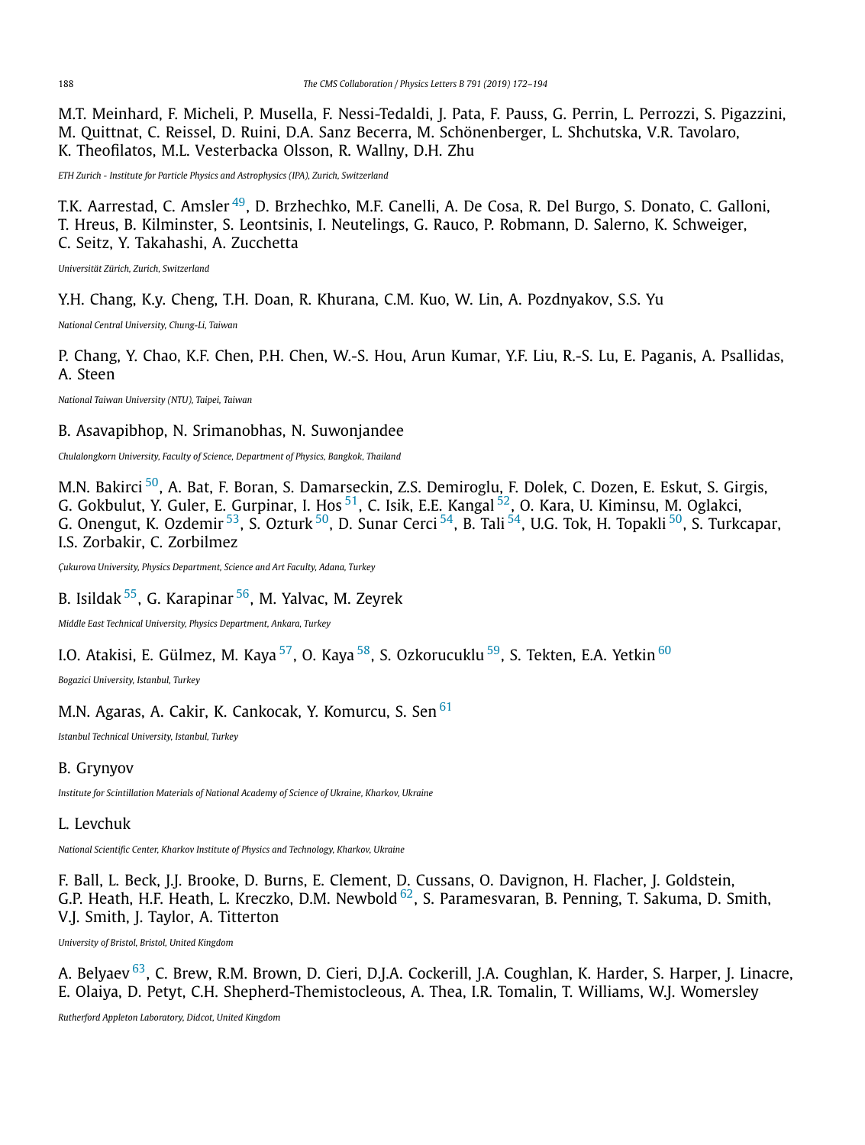M.T. Meinhard, F. Micheli, P. Musella, F. Nessi-Tedaldi, J. Pata, F. Pauss, G. Perrin, L. Perrozzi, S. Pigazzini, M. Quittnat, C. Reissel, D. Ruini, D.A. Sanz Becerra, M. Schönenberger, L. Shchutska, V.R. Tavolaro, K. Theofilatos, M.L. Vesterbacka Olsson, R. Wallny, D.H. Zhu

*ETH Zurich - Institute for Particle Physics and Astrophysics (IPA), Zurich, Switzerland*

T.K. Aarrestad, C. Amsler<sup>49</sup>, D. Brzhechko, M.F. Canelli, A. De Cosa, R. Del Burgo, S. Donato. C. Galloni. T. Hreus, B. Kilminster, S. Leontsinis, I. Neutelings, G. Rauco, P. Robmann, D. Salerno, K. Schweiger, C. Seitz, Y. Takahashi, A. Zucchetta

*Universität Zürich, Zurich, Switzerland*

Y.H. Chang, K.y. Cheng, T.H. Doan, R. Khurana, C.M. Kuo, W. Lin, A. Pozdnyakov, S.S. Yu

*National Central University, Chung-Li, Taiwan*

P. Chang, Y. Chao, K.F. Chen, P.H. Chen, W.-S. Hou, Arun Kumar, Y.F. Liu, R.-S. Lu, E. Paganis, A. Psallidas, A. Steen

*National Taiwan University (NTU), Taipei, Taiwan*

### B. Asavapibhop, N. Srimanobhas, N. Suwonjandee

*Chulalongkorn University, Faculty of Science, Department of Physics, Bangkok, Thailand*

M.N. Bakirci [50,](#page-21-0) A. Bat, F. Boran, S. Damarseckin, Z.S. Demiroglu, F. Dolek, C. Dozen, E. Eskut, S. Girgis, G. Gokbulut, Y. Guler, E. Gurpinar, I. Hos  $^{-51}$ , C. Isik, E.E. Kangal  $^{-52}$ , O. Kara, U. Kiminsu, M. Oglakci, G. Onengut, K. Ozdemir [53,](#page-21-0) S. Ozturk [50,](#page-21-0) D. Sunar Cerci [54,](#page-21-0) B. Tali [54,](#page-21-0) U.G. Tok, H. Topakli [50,](#page-21-0) S. Turkcapar, I.S. Zorbakir, C. Zorbilmez

*Çukurova University, Physics Department, Science and Art Faculty, Adana, Turkey*

# B. Isildak [55,](#page-21-0) G. Karapinar [56,](#page-21-0) M. Yalvac, M. Zeyrek

*Middle East Technical University, Physics Department, Ankara, Turkey*

# I.O. Atakisi, E. Gülmez, M. Kaya  $^{57}$  $^{57}$  $^{57}$ , O. Kaya  $^{58}$ , S. Ozkorucuklu  $^{59}$ , S. Tekten, E.A. Yetkin  $^{60}$  $^{60}$  $^{60}$

*Bogazici University, Istanbul, Turkey*

# M.N. Agaras, A. Cakir, K. Cankocak, Y. Komurcu, S. Sen <sup>[61](#page-21-0)</sup>

*Istanbul Technical University, Istanbul, Turkey*

# B. Grynyov

*Institute for Scintillation Materials of National Academy of Science of Ukraine, Kharkov, Ukraine*

### L. Levchuk

*National Scientific Center, Kharkov Institute of Physics and Technology, Kharkov, Ukraine*

F. Ball, L. Beck, J.J. Brooke, D. Burns, E. Clement, D. Cussans, O. Davignon, H. Flacher, J. Goldstein, G.P. Heath, H.F. Heath, L. Kreczko, D.M. Newbold <sup>62</sup>, S. Paramesvaran, B. Penning, T. Sakuma, D. Smith, V.J. Smith, J. Taylor, A. Titterton

*University of Bristol, Bristol, United Kingdom*

A. Belyaev<sup>63</sup>, C. Brew, R.M. Brown, D. Cieri, D.J.A. Cockerill, J.A. Coughlan, K. Harder, S. Harper, J. Linacre, E. Olaiya, D. Petyt, C.H. Shepherd-Themistocleous, A. Thea, I.R. Tomalin, T. Williams, W.J. Womersley

*Rutherford Appleton Laboratory, Didcot, United Kingdom*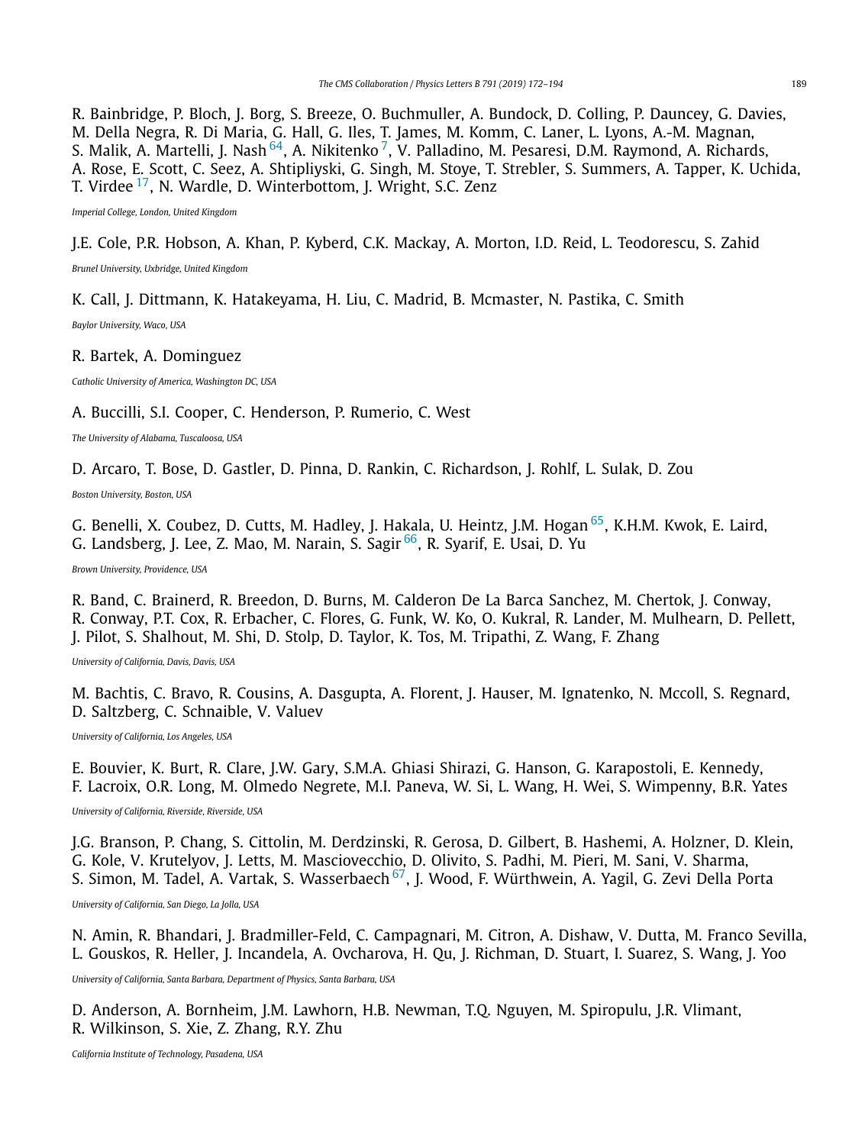R. Bainbridge, P. Bloch, J. Borg, S. Breeze, O. Buchmuller, A. Bundock, D. Colling, P. Dauncey, G. Davies, M. Della Negra, R. Di Maria, G. Hall, G. Iles, T. James, M. Komm, C. Laner, L. Lyons, A.-M. Magnan, S. Malik, A. Martelli, J. Nash  $64$ , A. Nikitenko<sup>7</sup>, V. Palladino, M. Pesaresi, D.M. Raymond, A. Richards, A. Rose, E. Scott, C. Seez, A. Shtipliyski, G. Singh, M. Stoye, T. Strebler, S. Summers, A. Tapper, K. Uchida, T. Virdee [17,](#page-21-0) N. Wardle, D. Winterbottom, J. Wright, S.C. Zenz

*Imperial College, London, United Kingdom*

J.E. Cole, P.R. Hobson, A. Khan, P. Kyberd, C.K. Mackay, A. Morton, I.D. Reid, L. Teodorescu, S. Zahid

*Brunel University, Uxbridge, United Kingdom*

# K. Call, J. Dittmann, K. Hatakeyama, H. Liu, C. Madrid, B. Mcmaster, N. Pastika, C. Smith

*Baylor University, Waco, USA*

### R. Bartek, A. Dominguez

*Catholic University of America, Washington DC, USA*

# A. Buccilli, S.I. Cooper, C. Henderson, P. Rumerio, C. West

*The University of Alabama, Tuscaloosa, USA*

D. Arcaro, T. Bose, D. Gastler, D. Pinna, D. Rankin, C. Richardson, J. Rohlf, L. Sulak, D. Zou

*Boston University, Boston, USA*

G. Benelli, X. Coubez, D. Cutts, M. Hadley, J. Hakala, U. Heintz, J.M. Hogan <sup>65</sup>, K.H.M. Kwok, E. Laird, G. Landsberg, J. Lee, Z. Mao, M. Narain, S. Sagir [66,](#page-22-0) R. Syarif, E. Usai, D. Yu

*Brown University, Providence, USA*

R. Band, C. Brainerd, R. Breedon, D. Burns, M. Calderon De La Barca Sanchez, M. Chertok, J. Conway, R. Conway, P.T. Cox, R. Erbacher, C. Flores, G. Funk, W. Ko, O. Kukral, R. Lander, M. Mulhearn, D. Pellett, J. Pilot, S. Shalhout, M. Shi, D. Stolp, D. Taylor, K. Tos, M. Tripathi, Z. Wang, F. Zhang

*University of California, Davis, Davis, USA*

M. Bachtis, C. Bravo, R. Cousins, A. Dasgupta, A. Florent, J. Hauser, M. Ignatenko, N. Mccoll, S. Regnard, D. Saltzberg, C. Schnaible, V. Valuev

*University of California, Los Angeles, USA*

E. Bouvier, K. Burt, R. Clare, J.W. Gary, S.M.A. Ghiasi Shirazi, G. Hanson, G. Karapostoli, E. Kennedy, F. Lacroix, O.R. Long, M. Olmedo Negrete, M.I. Paneva, W. Si, L. Wang, H. Wei, S. Wimpenny, B.R. Yates

*University of California, Riverside, Riverside, USA*

J.G. Branson, P. Chang, S. Cittolin, M. Derdzinski, R. Gerosa, D. Gilbert, B. Hashemi, A. Holzner, D. Klein, G. Kole, V. Krutelyov, J. Letts, M. Masciovecchio, D. Olivito, S. Padhi, M. Pieri, M. Sani, V. Sharma, S. Simon, M. Tadel, A. Vartak, S. Wasserbaech [67,](#page-22-0) J. Wood, F. Würthwein, A. Yagil, G. Zevi Della Porta

*University of California, San Diego, La Jolla, USA*

N. Amin, R. Bhandari, J. Bradmiller-Feld, C. Campagnari, M. Citron, A. Dishaw, V. Dutta, M. Franco Sevilla, L. Gouskos, R. Heller, J. Incandela, A. Ovcharova, H. Qu, J. Richman, D. Stuart, I. Suarez, S. Wang, J. Yoo

*University of California, Santa Barbara, Department of Physics, Santa Barbara, USA*

D. Anderson, A. Bornheim, J.M. Lawhorn, H.B. Newman, T.Q. Nguyen, M. Spiropulu, J.R. Vlimant, R. Wilkinson, S. Xie, Z. Zhang, R.Y. Zhu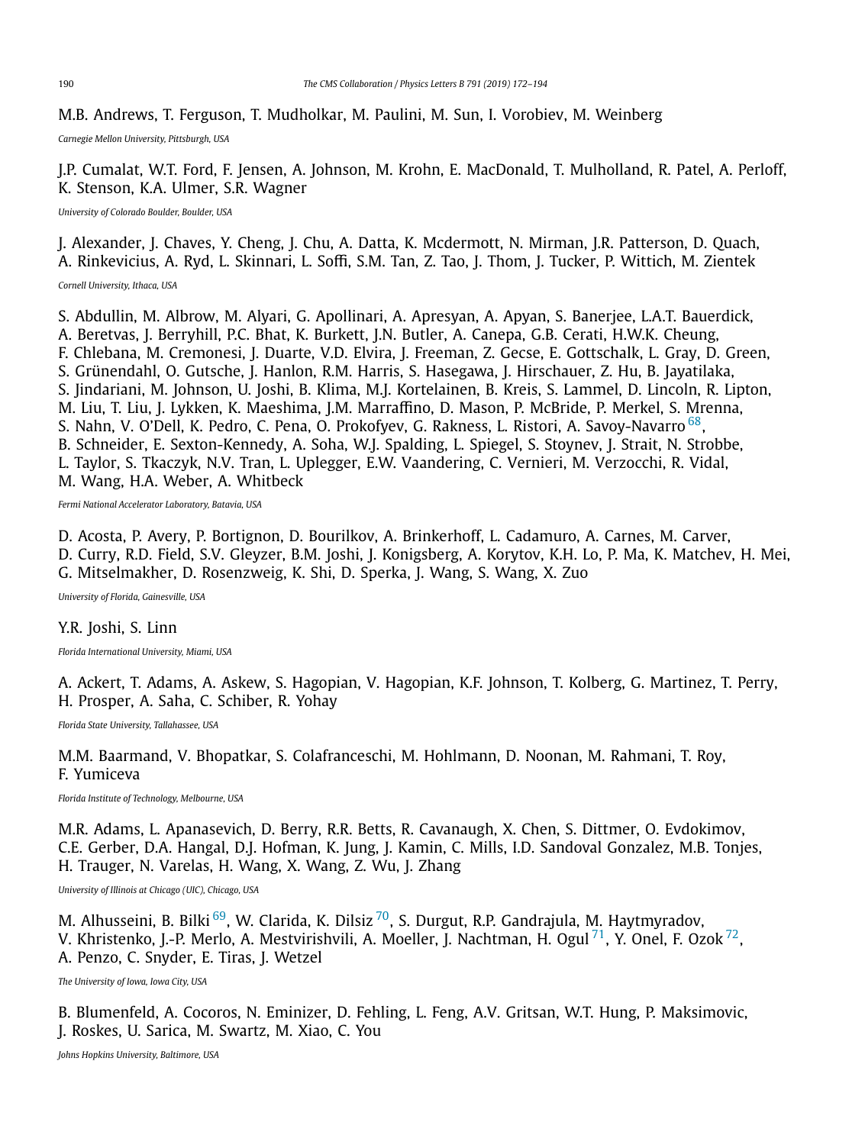# M.B. Andrews, T. Ferguson, T. Mudholkar, M. Paulini, M. Sun, I. Vorobiev, M. Weinberg

*Carnegie Mellon University, Pittsburgh, USA*

J.P. Cumalat, W.T. Ford, F. Jensen, A. Johnson, M. Krohn, E. MacDonald, T. Mulholland, R. Patel, A. Perloff, K. Stenson, K.A. Ulmer, S.R. Wagner

*University of Colorado Boulder, Boulder, USA*

J. Alexander, J. Chaves, Y. Cheng, J. Chu, A. Datta, K. Mcdermott, N. Mirman, J.R. Patterson, D. Quach, A. Rinkevicius, A. Ryd, L. Skinnari, L. Soffi, S.M. Tan, Z. Tao, J. Thom, J. Tucker, P. Wittich, M. Zientek *Cornell University, Ithaca, USA*

S. Abdullin, M. Albrow, M. Alyari, G. Apollinari, A. Apresyan, A. Apyan, S. Banerjee, L.A.T. Bauerdick, A. Beretvas, J. Berryhill, P.C. Bhat, K. Burkett, J.N. Butler, A. Canepa, G.B. Cerati, H.W.K. Cheung, F. Chlebana, M. Cremonesi, J. Duarte, V.D. Elvira, J. Freeman, Z. Gecse, E. Gottschalk, L. Gray, D. Green, S. Grünendahl, O. Gutsche, J. Hanlon, R.M. Harris, S. Hasegawa, J. Hirschauer, Z. Hu, B. Jayatilaka, S. Jindariani, M. Johnson, U. Joshi, B. Klima, M.J. Kortelainen, B. Kreis, S. Lammel, D. Lincoln, R. Lipton, M. Liu, T. Liu, J. Lykken, K. Maeshima, J.M. Marraffino, D. Mason, P. McBride, P. Merkel, S. Mrenna, S. Nahn, V. O'Dell, K. Pedro, C. Pena, O. Prokofyev, G. Rakness, L. Ristori, A. Savoy-Navarro [68,](#page-22-0) B. Schneider, E. Sexton-Kennedy, A. Soha, W.J. Spalding, L. Spiegel, S. Stoynev, J. Strait, N. Strobbe, L. Taylor, S. Tkaczyk, N.V. Tran, L. Uplegger, E.W. Vaandering, C. Vernieri, M. Verzocchi, R. Vidal, M. Wang, H.A. Weber, A. Whitbeck

*Fermi National Accelerator Laboratory, Batavia, USA*

D. Acosta, P. Avery, P. Bortignon, D. Bourilkov, A. Brinkerhoff, L. Cadamuro, A. Carnes, M. Carver, D. Curry, R.D. Field, S.V. Gleyzer, B.M. Joshi, J. Konigsberg, A. Korytov, K.H. Lo, P. Ma, K. Matchev, H. Mei, G. Mitselmakher, D. Rosenzweig, K. Shi, D. Sperka, J. Wang, S. Wang, X. Zuo

*University of Florida, Gainesville, USA*

Y.R. Joshi, S. Linn

*Florida International University, Miami, USA*

A. Ackert, T. Adams, A. Askew, S. Hagopian, V. Hagopian, K.F. Johnson, T. Kolberg, G. Martinez, T. Perry, H. Prosper, A. Saha, C. Schiber, R. Yohay

*Florida State University, Tallahassee, USA*

M.M. Baarmand, V. Bhopatkar, S. Colafranceschi, M. Hohlmann, D. Noonan, M. Rahmani, T. Roy, F. Yumiceva

*Florida Institute of Technology, Melbourne, USA*

M.R. Adams, L. Apanasevich, D. Berry, R.R. Betts, R. Cavanaugh, X. Chen, S. Dittmer, O. Evdokimov, C.E. Gerber, D.A. Hangal, D.J. Hofman, K. Jung, J. Kamin, C. Mills, I.D. Sandoval Gonzalez, M.B. Tonjes, H. Trauger, N. Varelas, H. Wang, X. Wang, Z. Wu, J. Zhang

*University of Illinois at Chicago (UIC), Chicago, USA*

M. Alhusseini, B. Bilki <sup>69</sup>, W. Clarida, K. Dilsiz <sup>70</sup>, S. Durgut, R.P. Gandrajula, M. Haytmyradov, V. Khristenko, J.-P. Merlo, A. Mestvirishvili, A. Moeller, J. Nachtman, H. Ogul [71,](#page-22-0) Y. Onel, F. Ozok [72,](#page-22-0) A. Penzo, C. Snyder, E. Tiras, J. Wetzel

*The University of Iowa, Iowa City, USA*

B. Blumenfeld, A. Cocoros, N. Eminizer, D. Fehling, L. Feng, A.V. Gritsan, W.T. Hung, P. Maksimovic, J. Roskes, U. Sarica, M. Swartz, M. Xiao, C. You

*Johns Hopkins University, Baltimore, USA*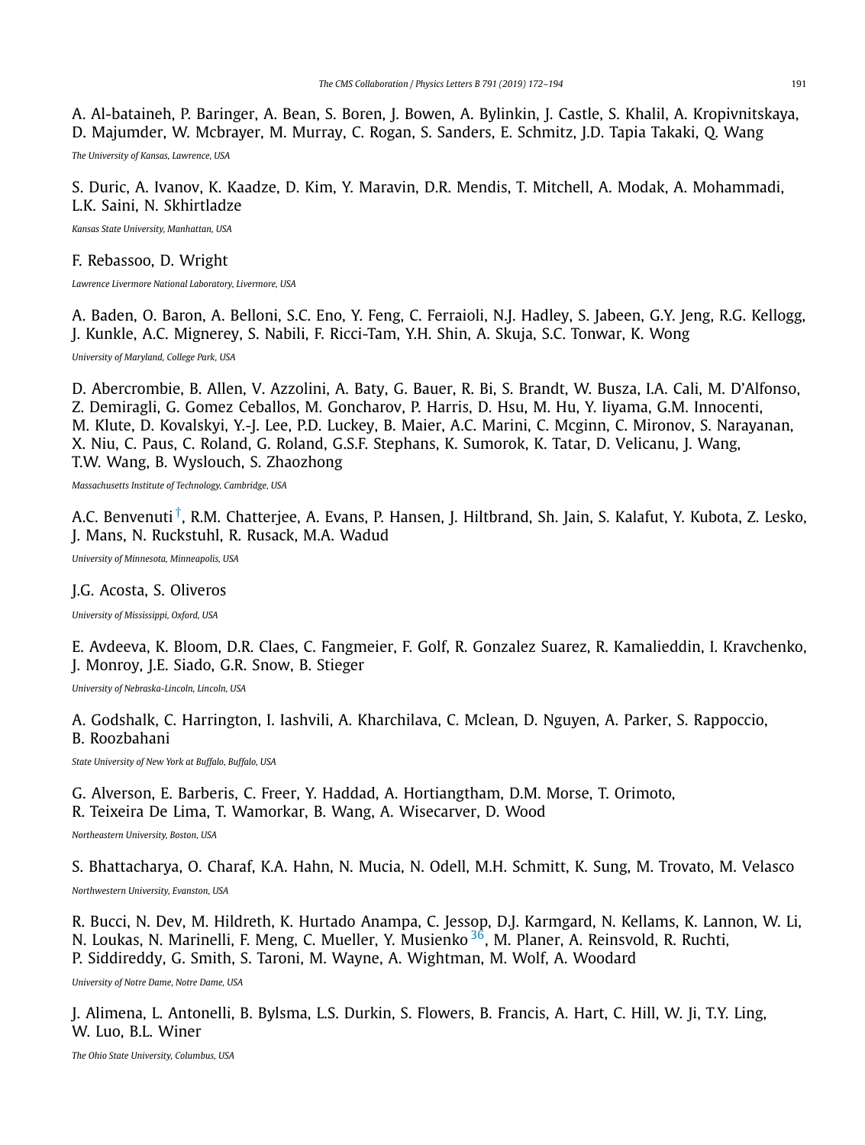A. Al-bataineh, P. Baringer, A. Bean, S. Boren, J. Bowen, A. Bylinkin, J. Castle, S. Khalil, A. Kropivnitskaya, D. Majumder, W. Mcbrayer, M. Murray, C. Rogan, S. Sanders, E. Schmitz, J.D. Tapia Takaki, Q. Wang

*The University of Kansas, Lawrence, USA*

S. Duric, A. Ivanov, K. Kaadze, D. Kim, Y. Maravin, D.R. Mendis, T. Mitchell, A. Modak, A. Mohammadi, L.K. Saini, N. Skhirtladze

*Kansas State University, Manhattan, USA*

### F. Rebassoo, D. Wright

*Lawrence Livermore National Laboratory, Livermore, USA*

A. Baden, O. Baron, A. Belloni, S.C. Eno, Y. Feng, C. Ferraioli, N.J. Hadley, S. Jabeen, G.Y. Jeng, R.G. Kellogg, J. Kunkle, A.C. Mignerey, S. Nabili, F. Ricci-Tam, Y.H. Shin, A. Skuja, S.C. Tonwar, K. Wong

*University of Maryland, College Park, USA*

D. Abercrombie, B. Allen, V. Azzolini, A. Baty, G. Bauer, R. Bi, S. Brandt, W. Busza, I.A. Cali, M. D'Alfonso, Z. Demiragli, G. Gomez Ceballos, M. Goncharov, P. Harris, D. Hsu, M. Hu, Y. Iiyama, G.M. Innocenti, M. Klute, D. Kovalskyi, Y.-J. Lee, P.D. Luckey, B. Maier, A.C. Marini, C. Mcginn, C. Mironov, S. Narayanan, X. Niu, C. Paus, C. Roland, G. Roland, G.S.F. Stephans, K. Sumorok, K. Tatar, D. Velicanu, J. Wang, T.W. Wang, B. Wyslouch, S. Zhaozhong

*Massachusetts Institute of Technology, Cambridge, USA*

A.C. Benvenuti [†,](#page-21-0) R.M. Chatterjee, A. Evans, P. Hansen, J. Hiltbrand, Sh. Jain, S. Kalafut, Y. Kubota, Z. Lesko, J. Mans, N. Ruckstuhl, R. Rusack, M.A. Wadud

*University of Minnesota, Minneapolis, USA*

# J.G. Acosta, S. Oliveros

*University of Mississippi, Oxford, USA*

E. Avdeeva, K. Bloom, D.R. Claes, C. Fangmeier, F. Golf, R. Gonzalez Suarez, R. Kamalieddin, I. Kravchenko, J. Monroy, J.E. Siado, G.R. Snow, B. Stieger

*University of Nebraska-Lincoln, Lincoln, USA*

A. Godshalk, C. Harrington, I. Iashvili, A. Kharchilava, C. Mclean, D. Nguyen, A. Parker, S. Rappoccio, B. Roozbahani

*State University of New York at Buffalo, Buffalo, USA*

G. Alverson, E. Barberis, C. Freer, Y. Haddad, A. Hortiangtham, D.M. Morse, T. Orimoto, R. Teixeira De Lima, T. Wamorkar, B. Wang, A. Wisecarver, D. Wood

*Northeastern University, Boston, USA*

S. Bhattacharya, O. Charaf, K.A. Hahn, N. Mucia, N. Odell, M.H. Schmitt, K. Sung, M. Trovato, M. Velasco *Northwestern University, Evanston, USA*

R. Bucci, N. Dev, M. Hildreth, K. Hurtado Anampa, C. Jessop, D.J. Karmgard, N. Kellams, K. Lannon, W. Li, N. Loukas, N. Marinelli, F. Meng, C. Mueller, Y. Musienko <sup>36</sup>, M. Planer, A. Reinsvold, R. Ruchti, P. Siddireddy, G. Smith, S. Taroni, M. Wayne, A. Wightman, M. Wolf, A. Woodard

*University of Notre Dame, Notre Dame, USA*

J. Alimena, L. Antonelli, B. Bylsma, L.S. Durkin, S. Flowers, B. Francis, A. Hart, C. Hill, W. Ji, T.Y. Ling, W. Luo, B.L. Winer

*The Ohio State University, Columbus, USA*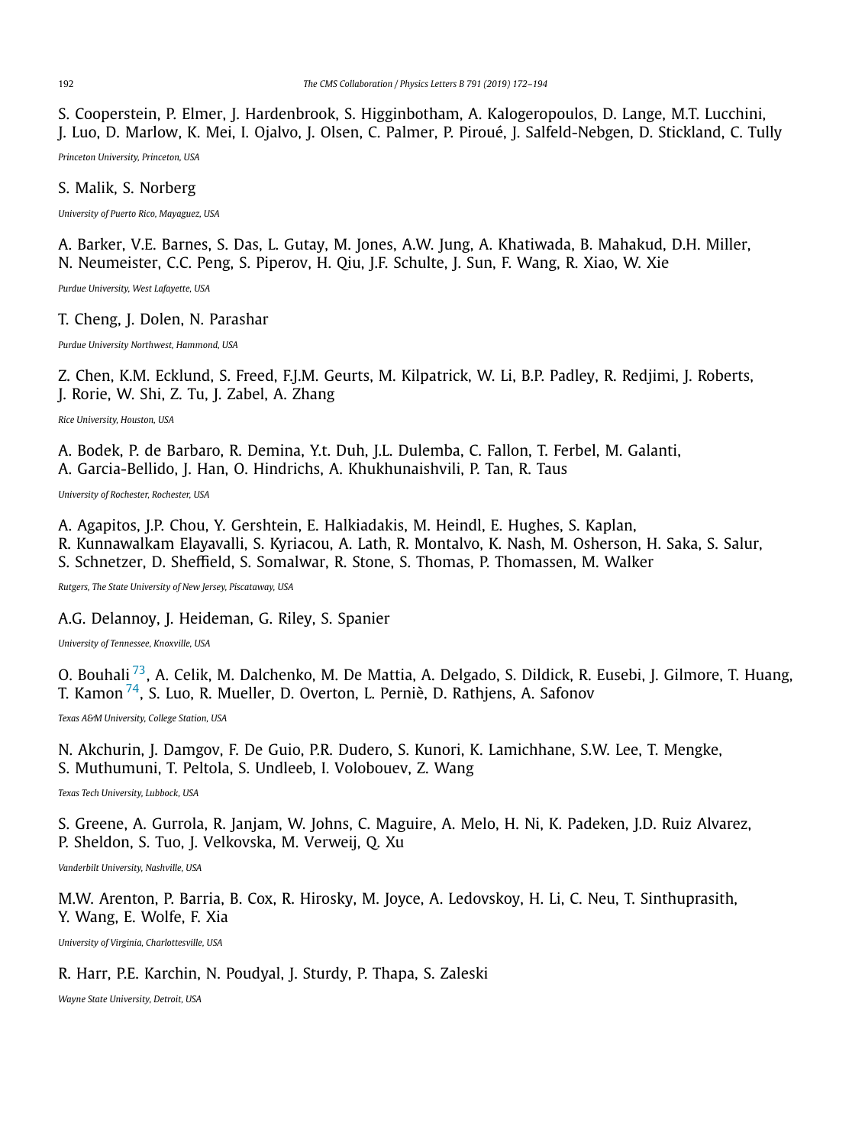S. Cooperstein, P. Elmer, J. Hardenbrook, S. Higginbotham, A. Kalogeropoulos, D. Lange, M.T. Lucchini, J. Luo, D. Marlow, K. Mei, I. Ojalvo, J. Olsen, C. Palmer, P. Piroué, J. Salfeld-Nebgen, D. Stickland, C. Tully

*Princeton University, Princeton, USA*

#### S. Malik, S. Norberg

*University of Puerto Rico, Mayaguez, USA*

A. Barker, V.E. Barnes, S. Das, L. Gutay, M. Jones, A.W. Jung, A. Khatiwada, B. Mahakud, D.H. Miller, N. Neumeister, C.C. Peng, S. Piperov, H. Qiu, J.F. Schulte, J. Sun, F. Wang, R. Xiao, W. Xie

*Purdue University, West Lafayette, USA*

#### T. Cheng, J. Dolen, N. Parashar

*Purdue University Northwest, Hammond, USA*

Z. Chen, K.M. Ecklund, S. Freed, F.J.M. Geurts, M. Kilpatrick, W. Li, B.P. Padley, R. Redjimi, J. Roberts, J. Rorie, W. Shi, Z. Tu, J. Zabel, A. Zhang

*Rice University, Houston, USA*

A. Bodek, P. de Barbaro, R. Demina, Y.t. Duh, J.L. Dulemba, C. Fallon, T. Ferbel, M. Galanti, A. Garcia-Bellido, J. Han, O. Hindrichs, A. Khukhunaishvili, P. Tan, R. Taus

*University of Rochester, Rochester, USA*

A. Agapitos, J.P. Chou, Y. Gershtein, E. Halkiadakis, M. Heindl, E. Hughes, S. Kaplan, R. Kunnawalkam Elayavalli, S. Kyriacou, A. Lath, R. Montalvo, K. Nash, M. Osherson, H. Saka, S. Salur, S. Schnetzer, D. Sheffield, S. Somalwar, R. Stone, S. Thomas, P. Thomassen, M. Walker

*Rutgers, The State University of New Jersey, Piscataway, USA*

A.G. Delannoy, J. Heideman, G. Riley, S. Spanier

*University of Tennessee, Knoxville, USA*

O. Bouhali [73,](#page-22-0) A. Celik, M. Dalchenko, M. De Mattia, A. Delgado, S. Dildick, R. Eusebi, J. Gilmore, T. Huang, T. Kamon  $^{74}$ , S. Luo, R. Mueller, D. Overton, L. Perniè, D. Rathjens, A. Safonov

*Texas A&M University, College Station, USA*

N. Akchurin, J. Damgov, F. De Guio, P.R. Dudero, S. Kunori, K. Lamichhane, S.W. Lee, T. Mengke, S. Muthumuni, T. Peltola, S. Undleeb, I. Volobouev, Z. Wang

*Texas Tech University, Lubbock, USA*

S. Greene, A. Gurrola, R. Janjam, W. Johns, C. Maguire, A. Melo, H. Ni, K. Padeken, J.D. Ruiz Alvarez, P. Sheldon, S. Tuo, J. Velkovska, M. Verweij, Q. Xu

*Vanderbilt University, Nashville, USA*

M.W. Arenton, P. Barria, B. Cox, R. Hirosky, M. Joyce, A. Ledovskoy, H. Li, C. Neu, T. Sinthuprasith, Y. Wang, E. Wolfe, F. Xia

*University of Virginia, Charlottesville, USA*

# R. Harr, P.E. Karchin, N. Poudyal, J. Sturdy, P. Thapa, S. Zaleski

*Wayne State University, Detroit, USA*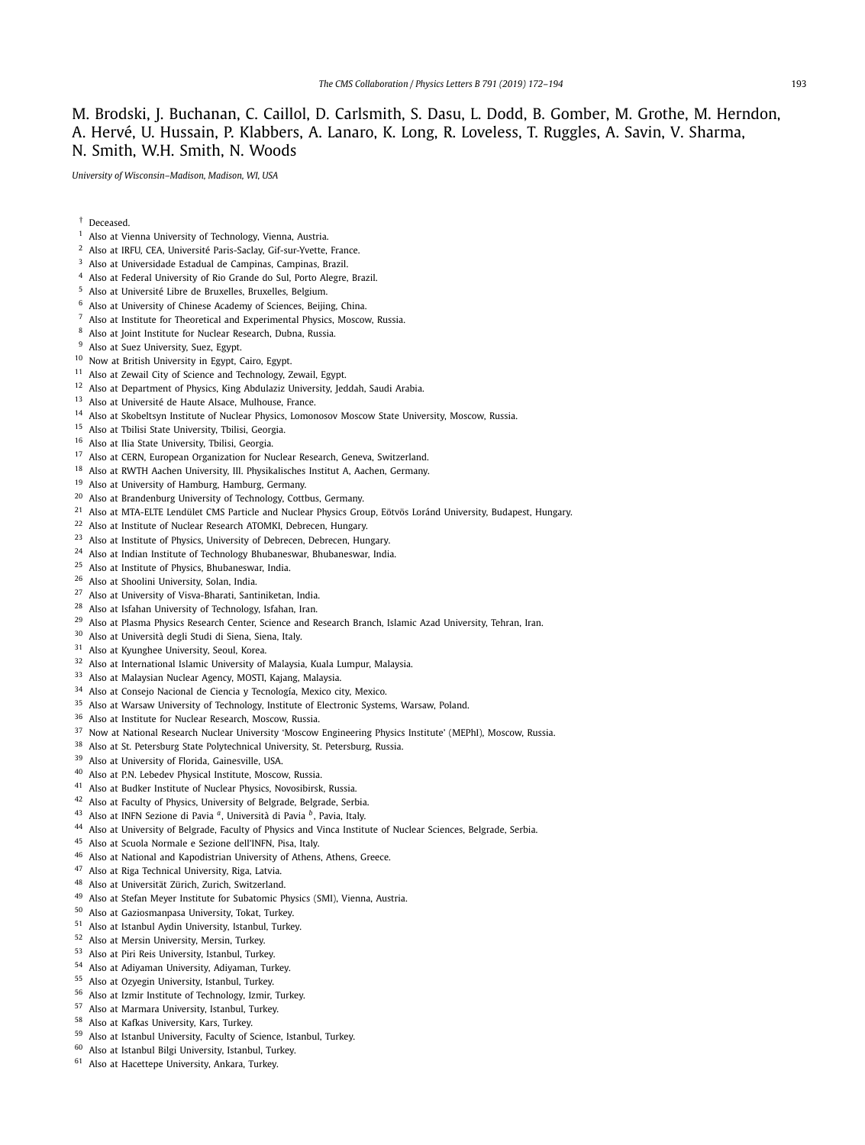# <span id="page-21-0"></span>M. Brodski, J. Buchanan, C. Caillol, D. Carlsmith, S. Dasu, L. Dodd, B. Gomber, M. Grothe, M. Herndon, A. Hervé, U. Hussain, P. Klabbers, A. Lanaro, K. Long, R. Loveless, T. Ruggles, A. Savin, V. Sharma, N. Smith, W.H. Smith, N. Woods

*University of Wisconsin–Madison, Madison, WI, USA*

- † Deceased.
- Also at Vienna University of Technology, Vienna, Austria.
- Also at IRFU, CEA, Université Paris-Saclay, Gif-sur-Yvette, France.
- Also at Universidade Estadual de Campinas, Campinas, Brazil.
- Also at Federal University of Rio Grande do Sul, Porto Alegre, Brazil.
- <sup>5</sup> Also at Université Libre de Bruxelles, Bruxelles, Belgium.<br> $\frac{6}{5}$  Also at University of Chinage Applemy of Grinages, Britis
- Also at University of Chinese Academy of Sciences, Beijing, China.
- Also at Institute for Theoretical and Experimental Physics, Moscow, Russia.
- Also at Joint Institute for Nuclear Research, Dubna, Russia.
- Also at Suez University, Suez, Egypt.
- Now at British University in Egypt, Cairo, Egypt.
- <sup>11</sup> Also at Zewail City of Science and Technology, Zewail, Egypt.<br><sup>12</sup> Also at Department of Physics, *King Abdulaziz University Jose*
- <sup>12</sup> Also at Department of Physics, King Abdulaziz University, Jeddah, Saudi Arabia.<br><sup>13</sup> Also at Universit<sup>6</sup> de Unite Alsosa Mulhause France.
- Also at Université de Haute Alsace, Mulhouse, France.
- Also at Skobeltsyn Institute of Nuclear Physics, Lomonosov Moscow State University, Moscow, Russia.
- Also at Tbilisi State University, Tbilisi, Georgia.
- Also at Ilia State University, Tbilisi, Georgia.
- <sup>17</sup> Also at CERN, European Organization for Nuclear Research, Geneva, Switzerland.
- Also at RWTH Aachen University, III. Physikalisches Institut A, Aachen, Germany.
- Also at University of Hamburg, Hamburg, Germany.
- Also at Brandenburg University of Technology, Cottbus, Germany.
- Also at MTA-ELTE Lendület CMS Particle and Nuclear Physics Group, Eötvös Loránd University, Budapest, Hungary.
- Also at Institute of Nuclear Research ATOMKI, Debrecen, Hungary.
- Also at Institute of Physics, University of Debrecen, Debrecen, Hungary.
- Also at Indian Institute of Technology Bhubaneswar, Bhubaneswar, India.
- Also at Institute of Physics, Bhubaneswar, India.
- Also at Shoolini University, Solan, India.
- Also at University of Visva-Bharati, Santiniketan, India.
- Also at Isfahan University of Technology, Isfahan, Iran.
- <sup>29</sup> Also at Plasma Physics Research Center, Science and Research Branch, Islamic Azad University, Tehran, Iran.
- Also at Università degli Studi di Siena, Siena, Italy.
- Also at Kyunghee University, Seoul, Korea.
- <sup>32</sup> Also at International Islamic University of Malaysia, Kuala Lumpur, Malaysia.
- Also at Malaysian Nuclear Agency, MOSTI, Kajang, Malaysia.
- Also at Consejo Nacional de Ciencia y Tecnología, Mexico city, Mexico.
- Also at Warsaw University of Technology, Institute of Electronic Systems, Warsaw, Poland.
- Also at Institute for Nuclear Research, Moscow, Russia.
- Now at National Research Nuclear University 'Moscow Engineering Physics Institute' (MEPhI), Moscow, Russia.
- Also at St. Petersburg State Polytechnical University, St. Petersburg, Russia.
- Also at University of Florida, Gainesville, USA.
- Also at P.N. Lebedev Physical Institute, Moscow, Russia.
- Also at Budker Institute of Nuclear Physics, Novosibirsk, Russia.
- Also at Faculty of Physics, University of Belgrade, Belgrade, Serbia.
- Also at INFN Sezione di Pavia *<sup>a</sup>*, Università di Pavia *<sup>b</sup>* , Pavia, Italy.
- Also at University of Belgrade, Faculty of Physics and Vinca Institute of Nuclear Sciences, Belgrade, Serbia.
- Also at Scuola Normale e Sezione dell'INFN, Pisa, Italy.
- Also at National and Kapodistrian University of Athens, Athens, Greece.
- Also at Riga Technical University, Riga, Latvia.
- Also at Universität Zürich, Zurich, Switzerland.
- Also at Stefan Meyer Institute for Subatomic Physics (SMI), Vienna, Austria.
- Also at Gaziosmanpasa University, Tokat, Turkey.
- Also at Istanbul Aydin University, Istanbul, Turkey.
- Also at Mersin University, Mersin, Turkey.
- Also at Piri Reis University, Istanbul, Turkey.
- Also at Adiyaman University, Adiyaman, Turkey.
- Also at Ozyegin University, Istanbul, Turkey.
- Also at Izmir Institute of Technology, Izmir, Turkey.
- Also at Marmara University, Istanbul, Turkey.
- Also at Kafkas University, Kars, Turkey.
- Also at Istanbul University, Faculty of Science, Istanbul, Turkey.
- Also at Istanbul Bilgi University, Istanbul, Turkey.
- Also at Hacettepe University, Ankara, Turkey.